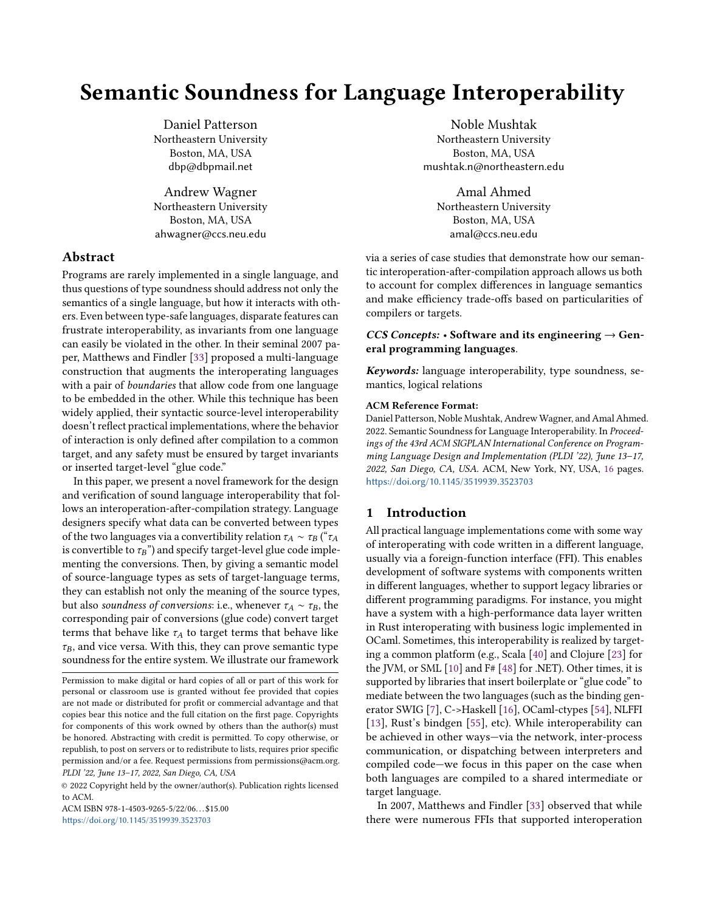# Semantic Soundness for Language Interoperability

Daniel Patterson Northeastern University Boston, MA, USA dbp@dbpmail.net

Andrew Wagner Northeastern University Boston, MA, USA ahwagner@ccs.neu.edu

# Abstract

Programs are rarely implemented in a single language, and thus questions of type soundness should address not only the semantics of a single language, but how it interacts with others. Even between type-safe languages, disparate features can frustrate interoperability, as invariants from one language can easily be violated in the other. In their seminal 2007 paper, Matthews and Findler [\[33\]](#page-14-0) proposed a multi-language construction that augments the interoperating languages with a pair of *boundaries* that allow code from one language to be embedded in the other. While this technique has been widely applied, their syntactic source-level interoperability doesn't reflect practical implementations, where the behavior of interaction is only defined after compilation to a common target, and any safety must be ensured by target invariants or inserted target-level "glue code."

In this paper, we present a novel framework for the design and verification of sound language interoperability that follows an interoperation-after-compilation strategy. Language designers specify what data can be converted between types of the two languages via a convertibility relation  $\tau_A \sim \tau_B$  (" $\tau_A$ is convertible to  $\tau_B$ ") and specify target-level glue code implementing the conversions. Then, by giving a semantic model of source-language types as sets of target-language terms, they can establish not only the meaning of the source types, but also soundness of conversions: i.e., whenever  $\tau_A \sim \tau_B$ , the corresponding pair of conversions (glue code) convert target terms that behave like  $\tau_A$  to target terms that behave like  $\tau_B$ , and vice versa. With this, they can prove semantic type soundness for the entire system. We illustrate our framework

ACM ISBN 978-1-4503-9265-5/22/06 \$15.00 <https://doi.org/10.1145/3519939.3523703>

Noble Mushtak Northeastern University Boston, MA, USA mushtak.n@northeastern.edu

Amal Ahmed Northeastern University Boston, MA, USA amal@ccs.neu.edu

via a series of case studies that demonstrate how our semantic interoperation-after-compilation approach allows us both to account for complex differences in language semantics and make efficiency trade-offs based on particularities of compilers or targets.

# CCS Concepts:  $\cdot$  Software and its engineering  $\rightarrow$  General programming languages.

Keywords: language interoperability, type soundness, semantics, logical relations

#### ACM Reference Format:

Daniel Patterson, Noble Mushtak, Andrew Wagner, and Amal Ahmed. 2022. Semantic Soundness for Language Interoperability. In Proceedings of the 43rd ACM SIGPLAN International Conference on Programming Language Design and Implementation (PLDI '22), June 13–17, 2022, San Diego, CA, USA. ACM, New York, NY, USA, [16](#page-15-0) pages. <https://doi.org/10.1145/3519939.3523703>

# 1 Introduction

All practical language implementations come with some way of interoperating with code written in a different language, usually via a foreign-function interface (FFI). This enables development of software systems with components written in different languages, whether to support legacy libraries or different programming paradigms. For instance, you might have a system with a high-performance data layer written in Rust interoperating with business logic implemented in OCaml. Sometimes, this interoperability is realized by targeting a common platform (e.g., Scala [\[40\]](#page-15-1) and Clojure [\[23\]](#page-14-1) for the JVM, or SML [\[10\]](#page-14-2) and F# [\[48\]](#page-15-2) for .NET). Other times, it is supported by libraries that insert boilerplate or "glue code" to mediate between the two languages (such as the binding generator SWIG [\[7\]](#page-14-3), C->Haskell [\[16\]](#page-14-4), OCaml-ctypes [\[54\]](#page-15-3), NLFFI [\[13\]](#page-14-5), Rust's bindgen [\[55\]](#page-15-4), etc). While interoperability can be achieved in other ways—via the network, inter-process communication, or dispatching between interpreters and compiled code—we focus in this paper on the case when both languages are compiled to a shared intermediate or target language.

In 2007, Matthews and Findler [\[33\]](#page-14-0) observed that while there were numerous FFIs that supported interoperation

Permission to make digital or hard copies of all or part of this work for personal or classroom use is granted without fee provided that copies are not made or distributed for profit or commercial advantage and that copies bear this notice and the full citation on the first page. Copyrights for components of this work owned by others than the author(s) must be honored. Abstracting with credit is permitted. To copy otherwise, or republish, to post on servers or to redistribute to lists, requires prior specific permission and/or a fee. Request permissions from permissions@acm.org. PLDI '22, June 13–17, 2022, San Diego, CA, USA

<sup>©</sup> 2022 Copyright held by the owner/author(s). Publication rights licensed to ACM.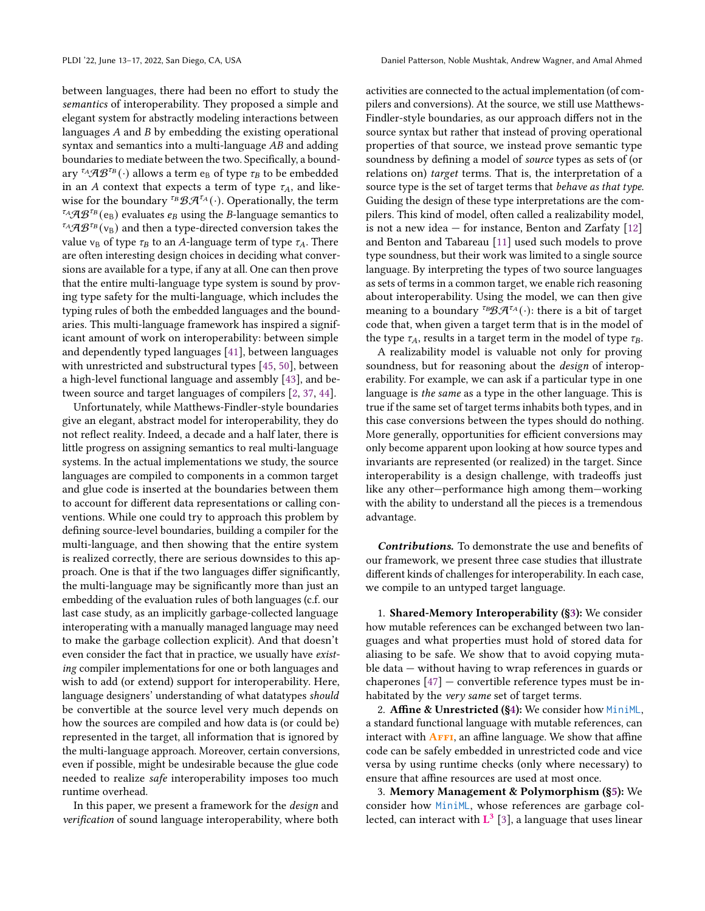between languages, there had been no effort to study the semantics of interoperability. They proposed a simple and elegant system for abstractly modeling interactions between languages  $A$  and  $B$  by embedding the existing operational syntax and semantics into a multi-language  $AB$  and adding boundaries to mediate between the two. Specifically, a boundary  ${}^{\tau_A}\mathcal{A}\mathcal{B}^{\tau_B}(\cdot)$  allows a term  ${\rm e}_{\rm B}$  of type  $\tau_B$  to be embedded in an A context that expects a term of type  $\tau_A$ , and likewise for the boundary <sup> $\tau_B$ </sup>  $\mathcal{B} \mathcal{A}^{\tau_A}(\cdot)$ . Operationally, the term  $\mathcal{F}_A\mathcal{A}\mathcal{B}^{\mathcal{F}_B}(e_B)$  evaluates  $e_B$  using the B-language semantics to  $^{t_{A}}AB^{t_{B}}(v_{B})$  and then a type-directed conversion takes the value  $v_B$  of type  $\tau_B$  to an A-language term of type  $\tau_A$ . There are often interesting design choices in deciding what conversions are available for a type, if any at all. One can then prove that the entire multi-language type system is sound by proving type safety for the multi-language, which includes the typing rules of both the embedded languages and the boundaries. This multi-language framework has inspired a significant amount of work on interoperability: between simple and dependently typed languages [\[41\]](#page-15-5), between languages with unrestricted and substructural types [\[45,](#page-15-6) [50\]](#page-15-7), between a high-level functional language and assembly [\[43\]](#page-15-8), and between source and target languages of compilers [\[2,](#page-14-6) [37,](#page-15-9) [44\]](#page-15-10).

Unfortunately, while Matthews-Findler-style boundaries give an elegant, abstract model for interoperability, they do not reflect reality. Indeed, a decade and a half later, there is little progress on assigning semantics to real multi-language systems. In the actual implementations we study, the source languages are compiled to components in a common target and glue code is inserted at the boundaries between them to account for different data representations or calling conventions. While one could try to approach this problem by defining source-level boundaries, building a compiler for the multi-language, and then showing that the entire system is realized correctly, there are serious downsides to this approach. One is that if the two languages differ significantly, the multi-language may be significantly more than just an embedding of the evaluation rules of both languages (c.f. our last case study, as an implicitly garbage-collected language interoperating with a manually managed language may need to make the garbage collection explicit). And that doesn't even consider the fact that in practice, we usually have existing compiler implementations for one or both languages and wish to add (or extend) support for interoperability. Here, language designers' understanding of what datatypes should be convertible at the source level very much depends on how the sources are compiled and how data is (or could be) represented in the target, all information that is ignored by the multi-language approach. Moreover, certain conversions, even if possible, might be undesirable because the glue code needed to realize safe interoperability imposes too much runtime overhead.

In this paper, we present a framework for the design and verification of sound language interoperability, where both activities are connected to the actual implementation (of compilers and conversions). At the source, we still use Matthews-Findler-style boundaries, as our approach differs not in the source syntax but rather that instead of proving operational properties of that source, we instead prove semantic type soundness by defining a model of source types as sets of (or relations on) target terms. That is, the interpretation of a source type is the set of target terms that *behave as that type*. Guiding the design of these type interpretations are the compilers. This kind of model, often called a realizability model, is not a new idea  $-$  for instance, Benton and Zarfaty  $[12]$ and Benton and Tabareau [\[11\]](#page-14-8) used such models to prove type soundness, but their work was limited to a single source language. By interpreting the types of two source languages as sets of terms in a common target, we enable rich reasoning about interoperability. Using the model, we can then give meaning to a boundary <sup>TB</sup> $\mathcal{B} \mathcal{A}^{\tau_A}(\cdot)$ : there is a bit of target code that, when given a target term that is in the model of the type  $\tau_A$ , results in a target term in the model of type  $\tau_B$ .

A realizability model is valuable not only for proving soundness, but for reasoning about the design of interoperability. For example, we can ask if a particular type in one language is the same as a type in the other language. This is true if the same set of target terms inhabits both types, and in this case conversions between the types should do nothing. More generally, opportunities for efficient conversions may only become apparent upon looking at how source types and invariants are represented (or realized) in the target. Since interoperability is a design challenge, with tradeoffs just like any other—performance high among them—working with the ability to understand all the pieces is a tremendous advantage.

Contributions. To demonstrate the use and benefits of our framework, we present three case studies that illustrate different kinds of challenges for interoperability. In each case, we compile to an untyped target language.

1. Shared-Memory Interoperability ([§3\)](#page-3-0): We consider how mutable references can be exchanged between two languages and what properties must hold of stored data for aliasing to be safe. We show that to avoid copying mutable data — without having to wrap references in guards or chaperones [\[47\]](#page-15-11) — convertible reference types must be inhabitated by the very same set of target terms.

2. Affine & Unrestricted ([§4\)](#page-5-0): We consider how MiniML, a standard functional language with mutable references, can interact with  $\overline{AFFI}$ , an affine language. We show that affine code can be safely embedded in unrestricted code and vice versa by using runtime checks (only where necessary) to ensure that affine resources are used at most once.

3. Memory Management & Polymorphism ([§5\)](#page-9-0): We consider how MiniML, whose references are garbage collected, can interact with  $L^3$  [\[3\]](#page-14-9), a language that uses linear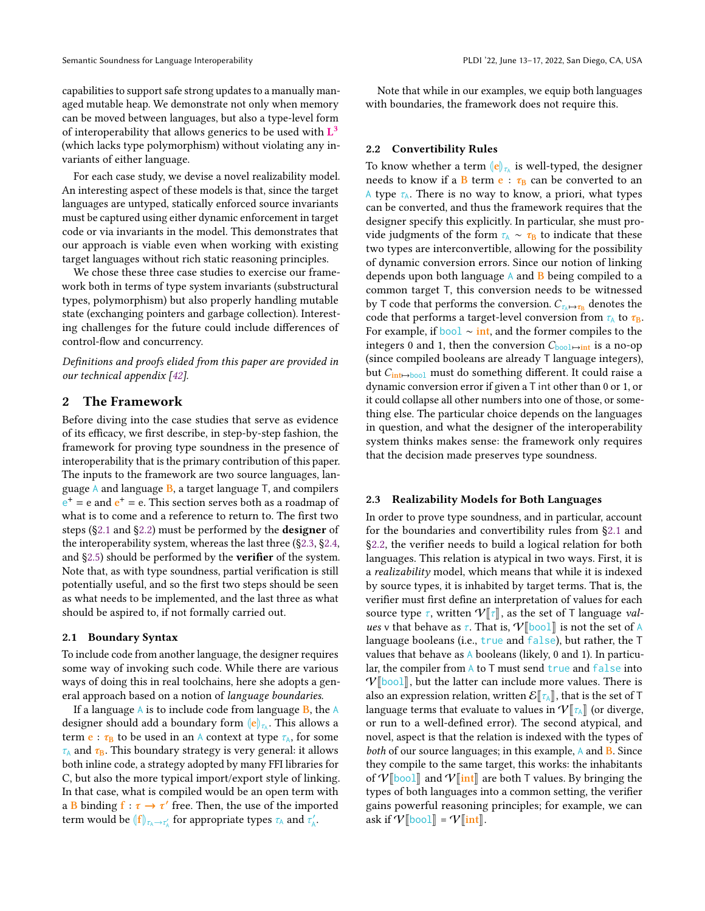capabilities to support safe strong updates to a manually managed mutable heap. We demonstrate not only when memory can be moved between languages, but also a type-level form of interoperability that allows generics to be used with  $L^3$ (which lacks type polymorphism) without violating any invariants of either language.

For each case study, we devise a novel realizability model. An interesting aspect of these models is that, since the target languages are untyped, statically enforced source invariants must be captured using either dynamic enforcement in target code or via invariants in the model. This demonstrates that our approach is viable even when working with existing target languages without rich static reasoning principles.

We chose these three case studies to exercise our framework both in terms of type system invariants (substructural types, polymorphism) but also properly handling mutable state (exchanging pointers and garbage collection). Interesting challenges for the future could include differences of control-flow and concurrency.

Definitions and proofs elided from this paper are provided in our technical appendix [\[42\]](#page-15-12).

# 2 The Framework

Before diving into the case studies that serve as evidence of its efficacy, we first describe, in step-by-step fashion, the framework for proving type soundness in the presence of interoperability that is the primary contribution of this paper. The inputs to the framework are two source languages, language  $A$  and language  $B$ , a target language  $T$ , and compilers  $e^+$  = e and  $e^+$  = e. This section serves both as a roadmap of what is to come and a reference to return to. The first two steps ([§2.1](#page-2-0) and [§2.2\)](#page-2-1) must be performed by the designer of the interoperability system, whereas the last three ([§2.3,](#page-2-2) [§2.4,](#page-3-1) and [§2.5\)](#page-3-2) should be performed by the verifier of the system. Note that, as with type soundness, partial verification is still potentially useful, and so the first two steps should be seen as what needs to be implemented, and the last three as what should be aspired to, if not formally carried out.

#### <span id="page-2-0"></span>2.1 Boundary Syntax

To include code from another language, the designer requires some way of invoking such code. While there are various ways of doing this in real toolchains, here she adopts a general approach based on a notion of language boundaries.

If a language  $\overline{A}$  is to include code from language  $\overline{B}$ , the  $\overline{A}$ designer should add a boundary form  $\|\mathbf{e}\|_{\mathcal{V}_\lambda}$ . This allows a term **e** :  $\tau_B$  to be used in an A context at type  $\tau_A$ , for some  $\tau_A$  and  $\tau_B$ . This boundary strategy is very general: it allows both inline code, a strategy adopted by many FFI libraries for C, but also the more typical import/export style of linking. In that case, what is compiled would be an open term with a B binding  $f : \tau \to \tau'$  free. Then, the use of the imported term would be  $\langle |f| \rangle_{\tau_A \to \tau_A'}$  for appropriate types  $\tau_A$  and  $\tau_A'$ .

Note that while in our examples, we equip both languages with boundaries, the framework does not require this.

#### <span id="page-2-1"></span>2.2 Convertibility Rules

To know whether a term  $\left\|\mathbf{e}\right\|_{\mathcal{I}_h}$  is well-typed, the designer needs to know if a B term  $\mathbf{e} : \tau_{\text{B}}$  can be converted to an A type  $\tau_A$ . There is no way to know, a priori, what types can be converted, and thus the framework requires that the designer specify this explicitly. In particular, she must provide judgments of the form  $\tau_A \sim \tau_B$  to indicate that these two types are interconvertible, allowing for the possibility of dynamic conversion errors. Since our notion of linking depends upon both language  $\overline{A}$  and  $\overline{B}$  being compiled to a common target T, this conversion needs to be witnessed by T code that performs the conversion.  $C_{\tau_{\mathbb{A}} \mapsto \tau_{\mathbb{B}}}$  denotes the code that performs a target-level conversion from  $\tau_A$  to  $\tau_B$ . For example, if bool  $\sim$  int, and the former compiles to the integers 0 and 1, then the conversion  $C_{\text{bool}\rightarrow\text{int}}$  is a no-op (since compiled booleans are already T language integers), but  $C_{\text{int}\mapsto \text{bool}}$  must do something different. It could raise a dynamic conversion error if given a T int other than 0 or 1, or it could collapse all other numbers into one of those, or something else. The particular choice depends on the languages in question, and what the designer of the interoperability system thinks makes sense: the framework only requires that the decision made preserves type soundness.

#### <span id="page-2-2"></span>2.3 Realizability Models for Both Languages

In order to prove type soundness, and in particular, account for the boundaries and convertibility rules from [§2.1](#page-2-0) and [§2.2,](#page-2-1) the verifier needs to build a logical relation for both languages. This relation is atypical in two ways. First, it is a realizability model, which means that while it is indexed by source types, it is inhabited by target terms. That is, the verifier must first define an interpretation of values for each source type  $\tau$ , written  $V[\![\tau]\!]$ , as the set of T language values v that behave as  $\tau$ . That is,  $V[\![\text{bool}]\!]$  is not the set of A language booleans (i.e., true and false), but rather, the T values that behave as  $\Lambda$  booleans (likely, 0 and 1). In particular, the compiler from A to T must send true and false into  $V[\text{bool}]$ , but the latter can include more values. There is also an expression relation, written  $\mathcal{E}[\![\tau_{A}]\!]$ , that is the set of T language terms that evaluate to values in  $V[\![\tau_A]\!]$  (or diverge, or run to a well-defined error). The second atypical, and novel, aspect is that the relation is indexed with the types of both of our source languages; in this example, A and **B**. Since they compile to the same target, this works: the inhabitants of  $V$ [bool] and  $V$ [int] are both T values. By bringing the types of both languages into a common setting, the verifier gains powerful reasoning principles; for example, we can ask if  $V$ [bool] =  $V$ [int].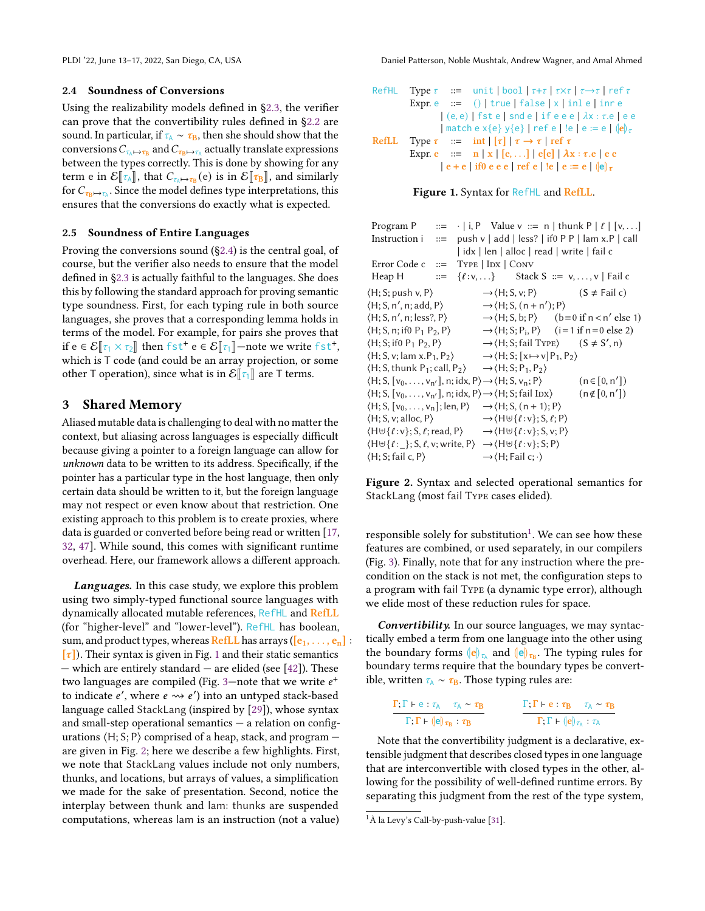#### <span id="page-3-1"></span>2.4 Soundness of Conversions

Using the realizability models defined in [§2.3,](#page-2-2) the verifier can prove that the convertibility rules defined in [§2.2](#page-2-1) are sound. In particular, if  $\tau_A \sim \tau_B$ , then she should show that the conversions  $C_{\tau_\mathbb{A}\mapsto\tau_\mathbb{B}}$  and  $C_{\tau_\mathbb{B}\mapsto\tau_\mathbb{A}}$  actually translate expressions between the types correctly. This is done by showing for any term e in  $\mathcal{E}[\tau_A]$ , that  $C_{\tau_A \mapsto \tau_B}(e)$  is in  $\mathcal{E}[\tau_B]$ , and similarly for C since the model defines two interpretations, this for  $C_{\tau_{\text{B}} \mapsto \tau_{\text{A}}}$ . Since the model defines type interpretations, this ensures that the conversions do exactly what is expected.

#### <span id="page-3-2"></span>2.5 Soundness of Entire Languages

Proving the conversions sound ([§2.4\)](#page-3-1) is the central goal, of course, but the verifier also needs to ensure that the model defined in [§2.3](#page-2-2) is actually faithful to the languages. She does this by following the standard approach for proving semantic type soundness. First, for each typing rule in both source languages, she proves that a corresponding lemma holds in terms of the model. For example, for pairs she proves that if  $e \in \mathcal{E}[\![\tau_1 \times \tau_2]\!]$  then fst<sup>+</sup>  $e \in \mathcal{E}[\![\tau_1]\!]$  —note we write fst<sup>+</sup>, which is T code (and could be an array projection, or some other T operation), since what is in  $\mathcal{E}[\tau_1]$  are T terms.

# <span id="page-3-0"></span>3 Shared Memory

Aliased mutable data is challenging to deal with no matter the context, but aliasing across languages is especially difficult because giving a pointer to a foreign language can allow for unknown data to be written to its address. Specifically, if the pointer has a particular type in the host language, then only certain data should be written to it, but the foreign language may not respect or even know about that restriction. One existing approach to this problem is to create proxies, where data is guarded or converted before being read or written [\[17,](#page-14-10) [32,](#page-14-11) [47\]](#page-15-11). While sound, this comes with significant runtime overhead. Here, our framework allows a different approach.

Languages. In this case study, we explore this problem using two simply-typed functional source languages with dynamically allocated mutable references, RefHL and RefLL (for "higher-level" and "lower-level"). RefHL has boolean, sum, and product types, whereas RefLL has arrays ( $[e_1, \ldots, e_n]$ :  $[\tau]$ ). Their syntax is given in Fig. [1](#page-3-3) and their static semantics — which are entirely standard — are elided (see [\[42\]](#page-15-12)). These two languages are compiled (Fig. [3—](#page-4-0)note that we write  $e^+$ to indicate e', where  $e \rightsquigarrow e'$ ) into an untyped stack-based language called StackLang (inspired by [\[29\]](#page-14-12)), whose syntax and small-step operational semantics  $-$  a relation on configurations  $\langle H; S; P \rangle$  comprised of a heap, stack, and program  $$ are given in Fig. [2;](#page-3-4) here we describe a few highlights. First, we note that StackLang values include not only numbers, thunks, and locations, but arrays of values, a simplification we made for the sake of presentation. Second, notice the interplay between thunk and lam: thunks are suspended computations, whereas lam is an instruction (not a value)

```
RefHL Type \tau ::= unit | bool | \tau + \tau | \tau \times \tau | \tau \to \tau | ref \tauExpr. e \therefore () | true | false | x | inl e | inr e
                      |(e, e)| fst e | snd e | if e e e | \lambda x : \tau.e | e e
                      | match e x{e} y{e} | ref e | !e | e := e | \langle e \rangle_{\tau}RefLL Type \tau ::= int | \tau | \tau \to \tau | ref \tauExpr. e ::= n | x | [e, \ldots] | e[e] | \lambda x : \tau.e | e e\vert e + e \vert if0 e e e \vert ref e \vert !e \vert e := e \vert \vert e\vert<sub>7</sub>
```


<span id="page-3-4"></span>

| Program P                                                                                                                                  |  |                                                                            | ::= $\cdot$   i, P Value v ::= n   thunk P   $\ell$   [v, ]                        |
|--------------------------------------------------------------------------------------------------------------------------------------------|--|----------------------------------------------------------------------------|------------------------------------------------------------------------------------|
|                                                                                                                                            |  |                                                                            | Instruction i $:=$ push v   add   less?   if 0 P P   lam x.P   call                |
|                                                                                                                                            |  |                                                                            | idx   len   alloc   read   write   fail c                                          |
| Error Code $c ::=$ Type $ \text{Inx} $ Conv                                                                                                |  |                                                                            |                                                                                    |
| Heap H                                                                                                                                     |  |                                                                            | $ ::= \{ \ell : v,  \}$ Stack S $ ::= v, , v \mid \text{fail } c$                  |
| $\langle H; S; \text{push } v, P \rangle$                                                                                                  |  |                                                                            | $\rightarrow$ (H; S, v; P) $(S \neq \text{fail } c)$                               |
| $\langle H; S, n', n; add, P \rangle$                                                                                                      |  | $\rightarrow$ (H; S, (n + n'); P)                                          |                                                                                    |
| $\langle H; S, n', n; less?, P \rangle$                                                                                                    |  |                                                                            | $\rightarrow$ $\langle$ H; S, b; P $\rangle$ (b=0 if n < n' else 1)                |
| $\langle H; S, n; \text{if} 0 \text{ P}_1 \text{ P}_2, P \rangle$                                                                          |  |                                                                            | $\rightarrow$ $\langle$ H; S; P <sub>i</sub> , P $\rangle$ (i = 1 if n = 0 else 2) |
| $\langle H; S; if0 P_1 P_2, P \rangle$                                                                                                     |  |                                                                            | $\rightarrow$ (H; S; fail Type) $(S \neq S', n)$                                   |
| $\langle H; S, v; \text{lam } x. P_1, P_2 \rangle$                                                                                         |  | $\rightarrow$ (H; S; [x $\rightarrow$ v] P <sub>1</sub> , P <sub>2</sub> ) |                                                                                    |
| $\langle H; S, \text{thunk } P_1; \text{call}, P_2 \rangle \rightarrow \langle H; S; P_1, P_2 \rangle$                                     |  |                                                                            |                                                                                    |
| $\langle H; S, [v_0, \ldots, v_{n'}], n; idx, P \rangle \rightarrow \langle H; S, v_n; P \rangle$                                          |  |                                                                            | $(n \in [0, n'])$                                                                  |
| $\langle H; S, [v_0, \ldots, v_{n'}], n; idx, P \rangle \rightarrow \langle H; S; fail IDX \rangle$                                        |  |                                                                            | $(n \notin [0, n'])$                                                               |
| $\langle H; S, [v_0, \ldots, v_n]; len, P \rangle$                                                                                         |  | $\rightarrow$ $\langle$ H; S, (n + 1); P $\rangle$                         |                                                                                    |
| $\langle H; S, v; \text{alloc}, P \rangle$                                                                                                 |  | $\rightarrow \langle H \uplus \{\ell : v\}; S, \ell; P \rangle$            |                                                                                    |
| $\langle H \uplus \{\ell : v\}; S, \ell; \text{read}, P \rangle \longrightarrow \langle H \uplus \{\ell : v\}; S, v; P \rangle$            |  |                                                                            |                                                                                    |
| $\langle H \uplus \{\ell : \underline{\ } \}; S, \ell, v; \text{write}, P \rangle \rightarrow \langle H \uplus \{\ell : v\}; S; P \rangle$ |  |                                                                            |                                                                                    |
| $\langle H; S; \text{fail } c, P \rangle$                                                                                                  |  | $\rightarrow$ (H; Fail c; $\cdot$ )                                        |                                                                                    |

Figure 2. Syntax and selected operational semantics for StackLang (most fail Type cases elided).

responsible solely for substitution<sup>[1](#page-3-5)</sup>. We can see how these features are combined, or used separately, in our compilers (Fig. [3\)](#page-4-0). Finally, note that for any instruction where the precondition on the stack is not met, the configuration steps to a program with fail Type (a dynamic type error), although we elide most of these reduction rules for space.

Convertibility. In our source languages, we may syntactically embed a term from one language into the other using the boundary forms  $\|\mathbf{e}\|_{\mathcal{L}_\lambda}$  and  $\|\mathbf{e}\|_{\mathcal{L}_\mathbf{B}}$ . The typing rules for boundary terms require that the boundary types be convertible, written  $\tau_{\rm A}$  ∼  $\tau_{\rm B}$ . Those typing rules are:

$$
\frac{\Gamma, \Gamma \vdash e : \tau_A \quad \tau_A \sim \tau_B}{\Gamma, \Gamma \vdash (e)_{\tau_B} : \tau_B}
$$
\n
$$
\frac{\Gamma, \Gamma \vdash e : \tau_B \quad \tau_A \sim \tau_B}{\Gamma, \Gamma \vdash (e)_{\tau_A} : \tau_A}
$$

Note that the convertibility judgment is a declarative, extensible judgment that describes closed types in one language that are interconvertible with closed types in the other, allowing for the possibility of well-defined runtime errors. By separating this judgment from the rest of the type system,

<span id="page-3-5"></span><sup>1</sup>À la Levy's Call-by-push-value [\[31\]](#page-14-13).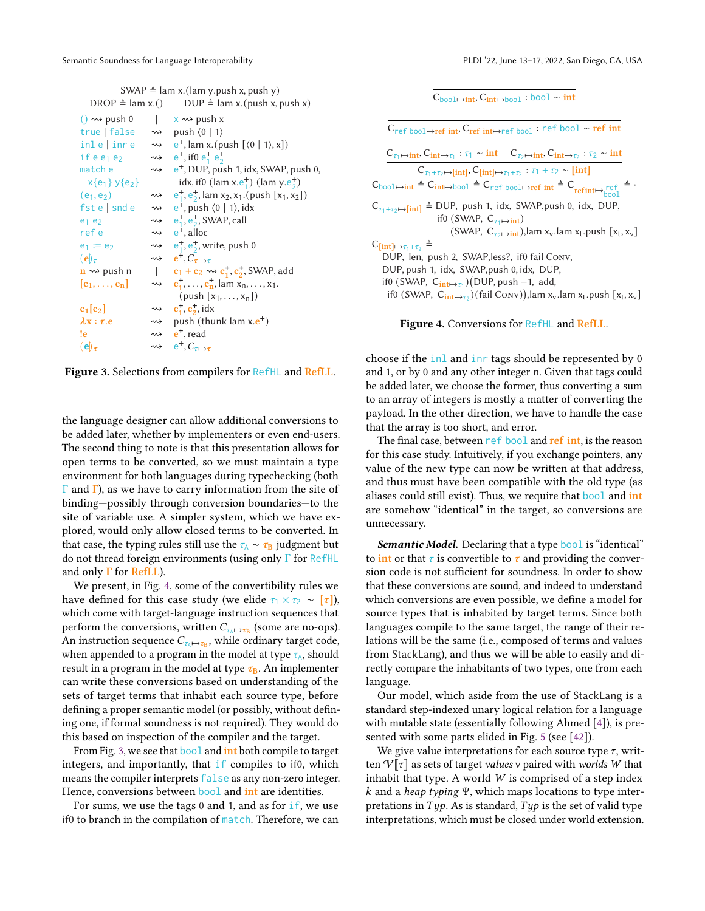| SWAP $\triangleq$ lam x.(lam y.push x, push y) |
|------------------------------------------------|
|------------------------------------------------|

<span id="page-4-0"></span>

| DROP $\triangleq$ lam x.()                          |                    | $DUP \triangleq \text{lam } x.(\text{push } x, \text{push } x)$                                        |
|-----------------------------------------------------|--------------------|--------------------------------------------------------------------------------------------------------|
| $() \rightsquigarrow$ push 0                        | $\mathbf{1}$       | $x \rightsquigarrow$ push x                                                                            |
| true false $\rightsquigarrow$                       |                    | push $\langle 0   1 \rangle$                                                                           |
|                                                     |                    | inle   inre $\rightsquigarrow$ e <sup>+</sup> , lam x. (push $\left[\langle 0   1 \rangle, x\right]$ ) |
| if $e e_1 e_2$                                      |                    | $\rightarrow$ e <sup>+</sup> , if 0 e <sup>+</sup> e <sup>+</sup>                                      |
| match e                                             | $\rightsquigarrow$ | $e^+$ , DUP, push 1, idx, SWAP, push 0,                                                                |
| $x{e_1}y{e_2}$                                      |                    | idx, if0 (lam x.e <sup>+</sup> ) (lam y.e <sup>+</sup> )                                               |
| $(e_1, e_2)$                                        |                    | $\rightarrow \quad e_1^+, e_2^+, \text{lam } x_2, x_1. (\text{push } [x_1, x_2])$                      |
| $f$ ste $\vert$ snd e                               |                    | $\rightarrow \quad e^+$ , push $\langle 0   1 \rangle$ , idx                                           |
| $e_1$ $e_2$                                         |                    | $\rightsquigarrow$ e <sup>+</sup> , e <sup>+</sup> , SWAP, call                                        |
| ref e                                               |                    | $\rightsquigarrow$ e <sup>+</sup> . alloc                                                              |
| $e_1 := e_2$                                        |                    | $\rightarrow \quad e_1^+, e_2^+,$ write, push 0                                                        |
| $(\vert e \vert)_{\tau}$                            |                    | $\rightsquigarrow$ $e^+, C_{\tau \mapsto \tau}$                                                        |
| $\mathbf{n} \rightsquigarrow$ push n                |                    | $e_1 + e_2 \rightsquigarrow e_1^+, e_2^+,$ SWAP, add                                                   |
| $\left  \mathbf{e}_1, \ldots, \mathbf{e}_n \right $ |                    | $\rightsquigarrow$ $e_1^{\dagger}, \dots, e_n^{\dagger}$ , lam $x_n, \dots, x_1$ .                     |
|                                                     |                    | $(push[x_1,,x_n])$                                                                                     |
| $e_1[e_2]$                                          |                    | $\rightsquigarrow$ $e_1^+, e_2^+, idx$                                                                 |
| $\lambda x : \tau.e$                                |                    | $\rightsquigarrow$ push (thunk lam x.e <sup>+</sup> )                                                  |
| !e                                                  |                    | $\rightsquigarrow$ e <sup>+</sup> , read                                                               |
| (e) $_{\tau}$                                       |                    | $\rightsquigarrow$ $e^+, C_{\tau \mapsto \tau}$                                                        |
|                                                     |                    |                                                                                                        |

Figure 3. Selections from compilers for RefHL and RefLL.

the language designer can allow additional conversions to be added later, whether by implementers or even end-users. The second thing to note is that this presentation allows for open terms to be converted, so we must maintain a type environment for both languages during typechecking (both  $Γ$  and  $Γ$ ), as we have to carry information from the site of binding—possibly through conversion boundaries—to the site of variable use. A simpler system, which we have explored, would only allow closed terms to be converted. In that case, the typing rules still use the  $\tau_A \sim \tau_B$  judgment but do not thread foreign environments (using only Γ for RefHL and only  $\Gamma$  for RefLL).

We present, in Fig. [4,](#page-4-1) some of the convertibility rules we have defined for this case study (we elide  $\tau_1 \times \tau_2 \sim [\tau]$ ), which come with target-language instruction sequences that perform the conversions, written  $C_{\tau_A \mapsto \tau_B}$  (some are no-ops). An instruction sequence  $C_{\tau_\mathbb{A} \mapsto \tau_\mathbb{B}}$ , while ordinary target code, when appended to a program in the model at type  $\tau_A$ , should result in a program in the model at type  $\tau_{\rm B}$ . An implementer can write these conversions based on understanding of the sets of target terms that inhabit each source type, before defining a proper semantic model (or possibly, without defining one, if formal soundness is not required). They would do this based on inspection of the compiler and the target.

From Fig. [3,](#page-4-0) we see that **bool** and **int** both compile to target integers, and importantly, that if compiles to if0, which means the compiler interprets false as any non-zero integer. Hence, conversions between **bool** and int are identities.

For sums, we use the tags  $0$  and  $1$ , and as for if, we use if0 to branch in the compilation of match. Therefore, we can  $\overline{C_{\text{bool}\rightarrow \text{int}}$ ,  $\overline{C_{\text{int}\rightarrow \text{bool}}$  : bool ∼ int

<span id="page-4-1"></span>Cref bool↦→ref int, Cref int↦→ref bool : ref bool ∼ ref int  $C_{\tau_1 \mapsto \text{int}}$ ,  $C_{\text{int} \mapsto \tau_1}$  :  $\tau_1 \sim \text{int}$   $C_{\tau_2 \mapsto \text{int}}$ ,  $C_{\text{int} \mapsto \tau_2}$  :  $\tau_2 \sim \text{int}$  $C_{\tau_1+\tau_2\mapsto[\text{int}]}$ ,  $C_{\text{int}}$  $\mapsto_{\tau_1+\tau_2}$ :  $\tau_1+\tau_2\sim[\text{int}]$  $C_{\text{bool}\mapsto\text{int}} \triangleq C_{\text{int}\mapsto\text{bool}} \triangleq C_{\text{ref}}$  bool→→ref int  $\triangleq C_{\text{ref-int}\mapsto\text{mod}}$   $\triangleq$ .  $C_{\tau_1+\tau_2\mapsto}$ [int]  $\triangleq$  DUP, push 1, idx, SWAP,push 0, idx, DUP, if0 (SWAP,  $C_{\tau_1 \mapsto \text{int}}$ ) (SWAP,  $C_{\tau_2 \mapsto \text{int}}$ ),lam x<sub>v</sub>.lam x<sub>t</sub>.push [x<sub>t</sub>, x<sub>v</sub>]  $C_{\left[ \text{int} \right] \mapsto \tau_1 + \tau_2} \triangleq$ DUP, len, push 2, SWAP,less?, if0 fail Conv, DUP, push 1, idx, SWAP,push 0, idx, DUP, if0 (SWAP, C<sub>int→τ1</sub>)(DUP, push –1, add, if0 (SWAP,  $C_{int\mapsto \tau_2}$ )(fail Conv)),lam x<sub>v</sub>.lam x<sub>t</sub>.push [x<sub>t</sub>, x<sub>v</sub>]

Figure 4. Conversions for RefHL and RefLL.

choose if the inl and inr tags should be represented by 0 and 1, or by 0 and any other integer n. Given that tags could be added later, we choose the former, thus converting a sum to an array of integers is mostly a matter of converting the payload. In the other direction, we have to handle the case that the array is too short, and error.

The final case, between ref bool and ref int, is the reason for this case study. Intuitively, if you exchange pointers, any value of the new type can now be written at that address, and thus must have been compatible with the old type (as aliases could still exist). Thus, we require that bool and int are somehow "identical" in the target, so conversions are unnecessary.

Semantic Model. Declaring that a type bool is "identical" to int or that  $\tau$  is convertible to  $\tau$  and providing the conversion code is not sufficient for soundness. In order to show that these conversions are sound, and indeed to understand which conversions are even possible, we define a model for source types that is inhabited by target terms. Since both languages compile to the same target, the range of their relations will be the same (i.e., composed of terms and values from StackLang), and thus we will be able to easily and directly compare the inhabitants of two types, one from each language.

Our model, which aside from the use of StackLang is a standard step-indexed unary logical relation for a language with mutable state (essentially following Ahmed [\[4\]](#page-14-14)), is presented with some parts elided in Fig. [5](#page-6-0) (see [\[42\]](#page-15-12)).

We give value interpretations for each source type  $\tau$ , written  $V[\![\tau]\!]$  as sets of target values v paired with worlds W that inhabit that type. A world  $W$  is comprised of a step index k and a heap typing Ψ, which maps locations to type interpretations in  $Type$ . As is standard,  $Type$  is the set of valid type interpretations, which must be closed under world extension.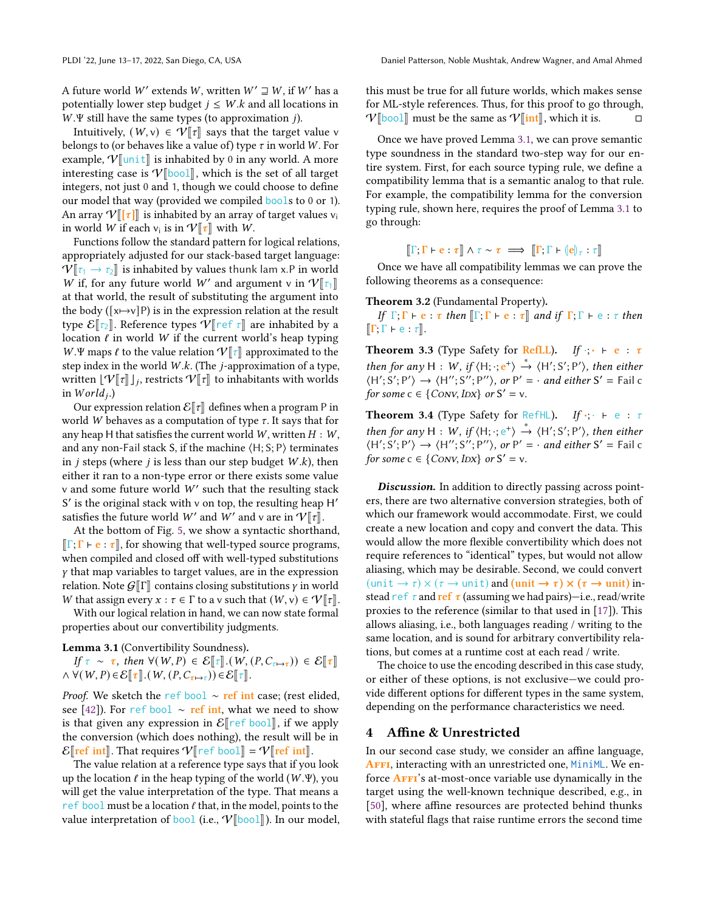Intuitively,  $(W, v) \in \mathcal{V}[\![\tau]\!]$  says that the target value v belongs to (or behaves like a value of) type  $\tau$  in world W. For example,  $V$ [unit] is inhabited by 0 in any world. A more interesting case is  $V$ [bool], which is the set of all target integers, not just 0 and 1, though we could choose to define our model that way (provided we compiled bools to 0 or 1). An array  $V[[\tau]]$  is inhabited by an array of target values  $v_i$ in world *W* if each  $v_i$  is in  $V[\tau]$  with *W*.<br>Functions follow the standard pattern for

Functions follow the standard pattern for logical relations, appropriately adjusted for our stack-based target language:  $V[\tau_1 \rightarrow \tau_2]$  is inhabited by values thunk lam x.P in world W if, for any future world W' and argument v in  $V[\![\tau_1]\!]$  at that world the result of substituting the argument into at that world, the result of substituting the argument into the body ( $[x \mapsto v]$ P) is in the expression relation at the result type  $\mathcal{E}[\tau_2]$ . Reference types  $\mathcal{V}[\tau]$  are inhabited by a location  $\ell$  in world W if the current world's heap typing W.Ψ maps  $\ell$  to the value relation  $\mathcal{V}[\tau]$  approximated to the step index in the world  $W.k$ . (The *j*-approximation of a type, written  $[\mathcal{V}[[\tau]]_j]$ , restricts  $\mathcal{V}[[\tau]]$  to inhabitants with worlds in  $World_i$ .)

Our expression relation  $\mathcal{E}[\![\tau]\!]$  defines when a program P in world W behaves as a computation of type  $\tau$ . It says that for any heap H that satisfies the current world  $W$ , written  $H : W$ , and any non-Fail stack S, if the machine  $\langle H; S; P \rangle$  terminates in *j* steps (where *j* is less than our step budget  $W.k$ ), then either it ran to a non-type error or there exists some value v and some future world  $W'$  such that the resulting stack S' is the original stack with v on top, the resulting heap H' satisfies the future world W' and W' and v are in  $V[\![\tau]\!]$ .

At the bottom of Fig. [5,](#page-6-0) we show a syntactic shorthand,  $\Vert \Gamma; \Gamma \vdash e : \tau \Vert$ , for showing that well-typed source programs, when compiled and closed off with well-typed substitutions  $y$  that map variables to target values, are in the expression relation. Note  $G[\![\Gamma]\!]$  contains closing substitutions  $\gamma$  in world W that assign every  $x : \tau \in \Gamma$  to a v such that  $(W, v) \in \mathcal{V}[\![\tau]\!]$ .

With our logical relation in hand, we can now state formal properties about our convertibility judgments.

<span id="page-5-1"></span>Lemma 3.1 (Convertibility Soundness).

If  $\tau \sim \tau$ , then  $\forall (W, P) \in \mathcal{E}[\tau] \cdot (W, (P, C_{\tau \mapsto \tau})) \in \mathcal{E}[\tau]$  $\wedge \forall (W, P) \in \mathcal{E}[\![\tau]\!].(W, (P, C_{\tau \mapsto \tau})) \in \mathcal{E}[\![\tau]\!].$ 

*Proof.* We sketch the ref bool ∼ ref int case; (rest elided, see [\[42\]](#page-15-12)). For ref bool ∼ ref int, what we need to show is that given any expression in  $\mathcal{E}$  ref bool], if we apply the conversion (which does nothing), the result will be in  $\mathcal{E}$  ref int  $\mathbb{R}$ . That requires  $\mathcal{V}$  ref bool  $\mathbb{R} = \mathcal{V}$  ref int  $\mathbb{R}$ .

The value relation at a reference type says that if you look up the location  $\ell$  in the heap typing of the world (W.Ψ), you will get the value interpretation of the type. That means a ref bool must be a location  $\ell$  that, in the model, points to the value interpretation of bool (i.e.,  $V[\text{bool}$ ). In our model, this must be true for all future worlds, which makes sense for ML-style references. Thus, for this proof to go through,  $V[\text{bool}]$  must be the same as  $V[\text{int}]$ , which it is. □

Once we have proved Lemma [3.1,](#page-5-1) we can prove semantic type soundness in the standard two-step way for our entire system. First, for each source typing rule, we define a compatibility lemma that is a semantic analog to that rule. For example, the compatibility lemma for the conversion typing rule, shown here, requires the proof of Lemma [3.1](#page-5-1) to go through:

 $\llbracket \Gamma;\Gamma\vdash e:\tau\rrbracket \wedge \tau \sim \tau \implies \llbracket \Gamma;\Gamma\vdash (e)\!\!\!\vert_{\tau}:\tau\rrbracket$ 

Once we have all compatibility lemmas we can prove the following theorems as a consequence:

<span id="page-5-2"></span>Theorem 3.2 (Fundamental Property).

If  $\Gamma; \Gamma \vdash e : \tau$  then  $\lbrack \Gamma; \Gamma \vdash e : \tau \rbrack$  and if  $\Gamma; \Gamma \vdash e : \tau$  then  $\llbracket \Gamma;\Gamma\vdash e:\tau\rrbracket.$ 

<span id="page-5-3"></span>**Theorem 3.3** (Type Safety for RefLL). If  $\cdot \cdot \cdot \cdot$  e :  $\tau$ then for any H : W, if  $\langle H; \cdot; e^+ \rangle \stackrel{*}{\rightarrow} \langle H'; S'; P' \rangle$ , then either  $\langle H', S', P' \rangle \rightarrow \langle H'', S''; P'' \rangle$ , or  $P' = \cdot$  and either  $S' =$  Fail c for some  $c \in \{Conv, IDX\}$  or  $S' = v$ .

<span id="page-5-4"></span>Theorem 3.4 (Type Safety for RefHL). If  $\cdot$ ;  $\cdot$   $\vdash$  e :  $\tau$ then for any H : W, if  $\langle H; \cdot; e^+ \rangle \stackrel{*}{\rightarrow} \langle H'; S'; P' \rangle$ , then either  $\langle H'; S'; P'\rangle \rightarrow \langle H''; S''; P''\rangle$ , or  $P' = \cdot$  and either  $S' =$  Fail c for some  $c \in \{Conv, IDX\}$  or  $S' = v$ .

Discussion. In addition to directly passing across pointers, there are two alternative conversion strategies, both of which our framework would accommodate. First, we could create a new location and copy and convert the data. This would allow the more flexible convertibility which does not require references to "identical" types, but would not allow aliasing, which may be desirable. Second, we could convert (unit  $\rightarrow \tau$ )  $\times (\tau \rightarrow \text{unit})$  and (unit  $\rightarrow \tau$ )  $\times (\tau \rightarrow \text{unit})$  instead ref  $\tau$  and ref  $\tau$  (assuming we had pairs)—i.e., read/write proxies to the reference (similar to that used in [\[17\]](#page-14-10)). This allows aliasing, i.e., both languages reading / writing to the same location, and is sound for arbitrary convertibility relations, but comes at a runtime cost at each read / write.

The choice to use the encoding described in this case study, or either of these options, is not exclusive—we could provide different options for different types in the same system, depending on the performance characteristics we need.

# <span id="page-5-0"></span>4 Affine & Unrestricted

In our second case study, we consider an affine language, AFFI, interacting with an unrestricted one, MiniML. We enforce **AFFI**'s at-most-once variable use dynamically in the target using the well-known technique described, e.g., in [\[50\]](#page-15-7), where affine resources are protected behind thunks with stateful flags that raise runtime errors the second time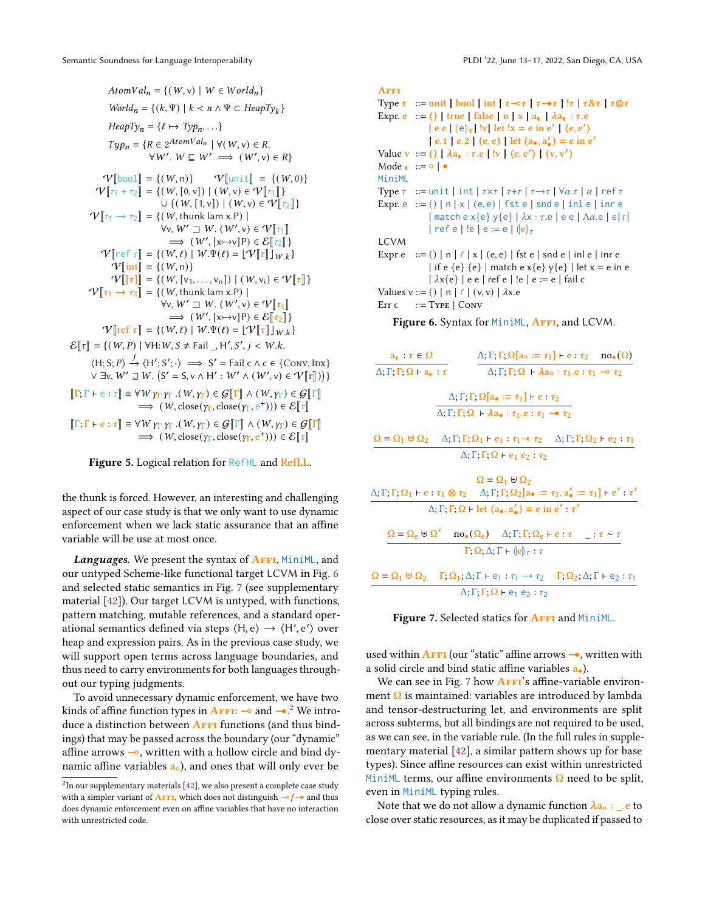<span id="page-6-0"></span> $AtomVal_n = \{(W, v) | W \in World_n\}$  $World_n = \{(k, \Psi) \mid k < n \land \Psi \subset \text{HeapTy}_k\}$  $HeapTy_n = \{\ell \mapsto Type_n, \ldots\}$  $Type_n = \{ R \in 2^{AtomVal_n} \mid \forall (W, v) \in R.$  $\forall W'$ .  $W \sqsubseteq W' \implies (W', v) \in R$  $V[\text{bool}] = {(W, n)} \qquad V[\text{unit}] = {(W, 0)}$ <br> $V[\text{unit}] = {(W, 0)}$  $\mathcal{V}[\![\tau_1 + \tau_2]\!] = \{ (W, [0, v]) \mid (W, v) \in \mathcal{V}[\![\tau_1]\!] \}$  $\cup \left\{ (W, [1, v]) \mid (W, v) \in \mathcal{V}[\![\tau_2]\!] \right\}$  $\mathcal{V}[\![\tau_1 \rightarrow \tau_2]\!] = \{(W, \text{thunk lam x.P})\! \mid$  $\forall$ v,  $W' \sqsupseteq W$ .  $(W', v) \in \mathcal{V}[[\tau_1]]$ <br> $\longrightarrow (W'$ ,  $[v]$ ,  $v$ <sup>1</sup> $v$ )  $\in \mathcal{S}[[\tau_1]]$  $\Rightarrow$   $(W', [x \mapsto v]P) \in \mathcal{E}[[\tau_2]]$ <br>  $W \in \mathcal{E}[[x, v]]$  $V$ [ref  $\tau$ ] = { $(W, \ell)$  |  $W.\Psi(\ell) = [\Psi] \tau$ ] $_{W,k}$ }  $V$ [int] = {(W, n)}  $V[[\tau]] = \{ (W, [v_1, \ldots, v_n]) \mid (W, v_i) \in V[[\tau]] \}$  $V[\tau_1 \rightarrow \tau_2] = \{(W, \text{thunk lam x.P})\}$  $\forall$ v,  $W' \sqsupseteq W$ .  $(W', v) \in \mathcal{V}[\![\tau_1]\!]$ <br> $\longrightarrow (W'$ ,  $[v]$ ,  $v$ <sup>1</sup> $) \in \mathcal{S}[\![\tau_1]\!]$  $\Rightarrow$   $(W', [x \mapsto v]P) \in \mathcal{E}[\[tau_2]\]$ <br>  $W \in \mathcal{W} \cup \mathcal{W} \cup \mathcal{W} \cup \{v\} = \{W, [\tau_1], \ldots\}$  $\mathcal{V}$ [ref  $\tau$ ] = {(W,  $\ell$ ) | W. $\Psi(\ell) = [\mathcal{V}$ [ $\tau$ ]] $_{W,k}$ }  $\mathcal{E}[\![\tau]\!] = \{ (W, P) \mid \forall H : W, S \neq \text{Fall } H', S', j < W. k.$  $\langle H; S; P \rangle \xrightarrow{j} \langle H'; S'; \cdot \rangle \implies S' = \text{fail } c \land c \in \{\text{Conv}, \text{Inx}\}\$  $\forall \exists v, W' \sqsupseteq W$ .  $(S' = S, v \land H' : W' \land (W', v) \in \mathcal{V}[[\tau]])$  $\llbracket \Gamma;\Gamma\vdash e:\tau\rrbracket\equiv \forall W\gamma_{\Gamma}\gamma_{\Gamma}\ (W,\gamma_{\Gamma})\in\mathcal{G} \llbracket \Gamma\rrbracket\wedge (W,\gamma_{\Gamma})\in\mathcal{G} \llbracket \Gamma\rrbracket$  $\Rightarrow$   $(W, \text{close}(Y_{\Gamma}, \text{close}(Y_{\Gamma}, e^+))) \in \mathcal{E}[[\tau]]$  $\Vert \Gamma;\Gamma \vdash e : \tau \Vert \equiv \forall W \gamma_{\Gamma} \gamma_{\Gamma} . (W,\gamma_{\Gamma}) \in \mathcal{G} \Vert \Gamma \Vert \wedge (W,\gamma_{\Gamma}) \in \mathcal{G} \Vert \Gamma \Vert$  $\Rightarrow$   $(W, \text{close}(y_{\Gamma}, \text{close}(y_{\Gamma}, e^+))) \in \mathcal{E}[[\tau]]$ 

Figure 5. Logical relation for RefHL and RefLL.

the thunk is forced. However, an interesting and challenging aspect of our case study is that we only want to use dynamic enforcement when we lack static assurance that an affine variable will be use at most once.

Languages. We present the syntax of AFFI, MiniML, and our untyped Scheme-like functional target LCVM in Fig. [6](#page-6-1) and selected static semantics in Fig. [7](#page-6-2) (see supplementary material [\[42\]](#page-15-12)). Our target LCVM is untyped, with functions, pattern matching, mutable references, and a standard operational semantics defined via steps  $\langle H, e \rangle \rightarrow \langle H', e' \rangle$  over heap and expression pairs. As in the previous case study, we will support open terms across language boundaries, and thus need to carry environments for both languages throughout our typing judgments.

To avoid unnecessary dynamic enforcement, we have two kinds of affine function types in **AFFI:**  $\rightarrow$  and  $\rightarrow$  <sup>[2](#page-6-3)</sup> We introduce a distinction between  $A$ FFI functions (and thus bindings) that may be passed across the boundary (our "dynamic" affine arrows ⊸, written with a hollow circle and bind dynamic affine variables  $a<sub>o</sub>$ ), and ones that will only ever be

```
AFFI
Type \tau ::= unit | bool | int | \tau \rightarrow \tau | \tau \rightarrow \tau | \tau \rightarrow \tau | \tau \& \tau | \tau \otimes \tauExpr. e ::= () | true | false | n | x | a_0 | \lambda a_0 : \tau.e\left| \begin{array}{c} e \ e \end{array} \right| \left( \begin{array}{c} e \end{array} \right) \right| ly let \left| x = e \text{ in } e' \right| \left( e, e' \right)| e.1 | e.2 | (e, e) | let (a_*, a'_*) = e in e'
Value v ::= () | \lambda a_0 : \tau.e | !v | \langle e, e' \rangle | (v, v')Mode \bullet ::= \circ | \bulletMiniML
Type \tau := unit | int | \tau \times \tau | \tau + \tau | \tau \to \tau | \forall \alpha.\tau | \alpha | ref \tauExpr. e := () | n | x | (e, e) | fst e | snd e | inl e | inr e
                    \vert match e x{e} y{e} \vert \lambda x : \tau . e \vert e e \vert \Lambda \alpha . e \vert e\vert \tau \vert| ref e | !e | e := e | \langle e \rangle_{\tau}LCVM
Expr e := ( ) | n | \ell | x | (e, e) | fst e | snd e | inl e | inr e
                    | if e {e} {e} | match e x{e} y{e} | let x = e in e
                    |\lambda x\{e\}| | e e | ref e | !e | e := e | fail c
Values v ::= () | n | \ell | (v, v) | \lambdax.e
Err c ::= Type | Conv
```
Figure 6. Syntax for MiniML, AFFI, and LCVM.

<span id="page-6-2"></span>

| $a_0: \tau \in \Omega$                                                                                                                                                                                         |                                                                                                                             | $\Delta; \Gamma; \Gamma; \Omega$ [a <sub>o</sub> := $\tau_1$ ] + e : $\tau_2$ no. ( $\Omega$ )                   |
|----------------------------------------------------------------------------------------------------------------------------------------------------------------------------------------------------------------|-----------------------------------------------------------------------------------------------------------------------------|------------------------------------------------------------------------------------------------------------------|
| $\Delta$ ; $\Gamma$ ; $\Gamma$ ; $\Omega$ + $a_0$ : $\tau$                                                                                                                                                     |                                                                                                                             | $\Delta$ : $\Gamma$ ; $\Gamma$ ; $\Omega$ + $\lambda$ a <sub>o</sub> : $\tau_1$ .e : $\tau_1 \rightarrow \tau_2$ |
|                                                                                                                                                                                                                | $\Delta; \Gamma; \Gamma; \Omega$ [a. = $\tau_1$ ] + e : $\tau_2$                                                            |                                                                                                                  |
|                                                                                                                                                                                                                | $\Delta: \Gamma: \Gamma$ ; $\Omega$ + $\lambda$ a. $\tau_1$ . $\tau_1$ $\rightarrow$ $\tau_2$                               |                                                                                                                  |
| $\Omega = \Omega_1 \boxplus \Omega_2 \quad \Delta; \Gamma; \Gamma; \Omega_1 \vdash e_1 : \tau_1 \negthinspace \negthinspace \negthinspace \sigma_2 \quad \Delta; \Gamma; \Gamma; \Omega_2 \vdash e_2 : \tau_1$ |                                                                                                                             |                                                                                                                  |
|                                                                                                                                                                                                                | $\Delta$ ; $\Gamma$ ; $\Gamma$ ; $\Omega$ + e <sub>1</sub> e <sub>2</sub> : $\tau_2$                                        |                                                                                                                  |
|                                                                                                                                                                                                                | $\Omega = \Omega_1 \uplus \Omega_2$                                                                                         |                                                                                                                  |
| $\Delta; \Gamma; \Gamma; \Omega_1 \vdash e : \tau_1 \otimes \tau_2 \quad \Delta; \Gamma; \Gamma; \Omega_2[a_{\bullet} := \tau_1, a'_{\bullet} := \tau_1] \vdash e' : \tau'$                                    |                                                                                                                             |                                                                                                                  |
|                                                                                                                                                                                                                | $\Delta$ , $\Gamma$ , $\Gamma$ , $\Omega$ + let $(a_{\bullet}, a_{\bullet}') = e$ in $e' \cdot \tau'$                       |                                                                                                                  |
|                                                                                                                                                                                                                | $\Omega = \Omega_e \oplus \Omega'$ no. $(\Omega_e)$ $\Delta$ ; $\Gamma$ ; $\Gamma$ ; $\Omega_e$ + e $\tau$ $\tau \sim \tau$ |                                                                                                                  |
|                                                                                                                                                                                                                | $\Gamma$ ; $\Omega$ ; $\Delta$ ; $\Gamma$ + $\langle e \rangle_{\tau}$ : $\tau$                                             |                                                                                                                  |
| $\Omega = \Omega_1 \uplus \Omega_2$ $\Gamma$ , $\Omega_1$ ; $\Delta$ ; $\Gamma$ + e <sub>1</sub> : $\tau_1 \rightarrow \tau_2$ $\Gamma$ , $\Omega_2$ ; $\Delta$ ; $\Gamma$ + e <sub>2</sub> : $\tau_1$         |                                                                                                                             |                                                                                                                  |

 $\Delta$ ; Γ; Γ; Ω + e<sub>1</sub> e<sub>2</sub> :  $\tau_2$ 

Figure 7. Selected statics for AFFI and MiniML.

used within  $\bf{A}$ FFI (our "static" affine arrows  $\rightarrow$ , written with a solid circle and bind static affine variables a•).

We can see in Fig. [7](#page-6-2) how  $A$ FFI's affine-variable environment Ω is maintained: variables are introduced by lambda and tensor-destructuring let, and environments are split across subterms, but all bindings are not required to be used, as we can see, in the variable rule. (In the full rules in supplementary material [\[42\]](#page-15-12), a similar pattern shows up for base types). Since affine resources can exist within unrestricted MiniML terms, our affine environments  $\Omega$  need to be split, even in MiniML typing rules.

Note that we do not allow a dynamic function  $\lambda a_0$ : .e to close over static resources, as it may be duplicated if passed to

<span id="page-6-3"></span> $^{2}$ In our supplementary materials [\[42\]](#page-15-12), we also present a complete case study with a simpler variant of AFFI, which does not distinguish  $\frac{1}{2}$  and thus does dynamic enforcement even on affine variables that have no interaction with unrestricted code.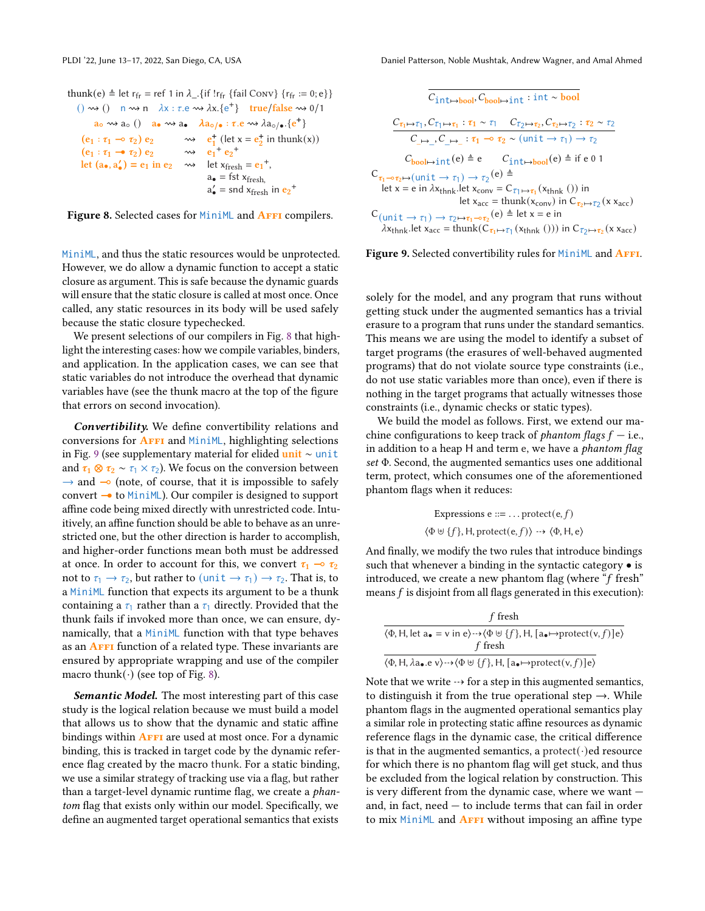```
thunk(e) \triangleq let r<sub>fr</sub> = ref 1 in \lambda<sub>-1</sub>. {if !r<sub>fr</sub> {fail Conv} {r<sub>fr</sub> := 0; e}}
     () \rightsquigarrow () \mod n \lambda x : \tau \in \rightsquigarrow \lambda x.\{e^+\} true/false \rightsquigarrow 0/1a_0 \rightsquigarrow a_0 () a_0 \rightsquigarrow a_0 \lambda a_0 / (a \cdot \tau \cdot e \rightsquigarrow \lambda a_0 / (e^+)(e_1 : \tau_1 \multimap \tau_2) e_2 \longrightarrow e_1^+ (let x = e_2^+) in thunk(x))(e_1 : \tau_1 \to \tau_2) e_2 \longrightarrow e_1^+ e_2^+let (a_{\bullet}, a'_{\bullet}) = e_1 in e_2 \longrightarrow \text{let } x_{\text{fresh}} = e_1^+,a_{\bullet} = fst x_{\text{fresh}}a'_\bullet = snd x<sub>fresh</sub> in e_2^+
```
Figure 8. Selected cases for MiniML and **AFFI** compilers.

MiniML, and thus the static resources would be unprotected. However, we do allow a dynamic function to accept a static closure as argument. This is safe because the dynamic guards will ensure that the static closure is called at most once. Once called, any static resources in its body will be used safely because the static closure typechecked.

We present selections of our compilers in Fig. [8](#page-7-0) that highlight the interesting cases: how we compile variables, binders, and application. In the application cases, we can see that static variables do not introduce the overhead that dynamic variables have (see the thunk macro at the top of the figure that errors on second invocation).

Convertibility. We define convertibility relations and conversions for **AFFI** and MiniML, highlighting selections in Fig. [9](#page-7-1) (see supplementary material for elided unit ∼ unit and  $\tau_1 \otimes \tau_2 \sim \tau_1 \times \tau_2$ ). We focus on the conversion between  $\rightarrow$  and  $\rightarrow$  (note, of course, that it is impossible to safely convert  $\rightarrow$  to MiniML). Our compiler is designed to support affine code being mixed directly with unrestricted code. Intuitively, an affine function should be able to behave as an unrestricted one, but the other direction is harder to accomplish, and higher-order functions mean both must be addressed at once. In order to account for this, we convert  $\tau_1 \rightarrow \tau_2$ not to  $\tau_1 \rightarrow \tau_2$ , but rather to (unit  $\rightarrow \tau_1$ )  $\rightarrow \tau_2$ . That is, to a MiniML function that expects its argument to be a thunk containing a  $\tau_1$  rather than a  $\tau_1$  directly. Provided that the thunk fails if invoked more than once, we can ensure, dynamically, that a MiniML function with that type behaves as an **AFFI** function of a related type. These invariants are ensured by appropriate wrapping and use of the compiler macro thunk( $\cdot$ ) (see top of Fig. [8\)](#page-7-0).

Semantic Model. The most interesting part of this case study is the logical relation because we must build a model that allows us to show that the dynamic and static affine bindings within **AFFI** are used at most once. For a dynamic binding, this is tracked in target code by the dynamic reference flag created by the macro thunk. For a static binding, we use a similar strategy of tracking use via a flag, but rather than a target-level dynamic runtime flag, we create a phantom flag that exists only within our model. Specifically, we define an augmented target operational semantics that exists

<span id="page-7-1"></span>

#### Figure 9. Selected convertibility rules for MiniML and AFFI.

solely for the model, and any program that runs without getting stuck under the augmented semantics has a trivial erasure to a program that runs under the standard semantics. This means we are using the model to identify a subset of target programs (the erasures of well-behaved augmented programs) that do not violate source type constraints (i.e., do not use static variables more than once), even if there is nothing in the target programs that actually witnesses those constraints (i.e., dynamic checks or static types).

We build the model as follows. First, we extend our machine configurations to keep track of *phantom flags*  $f$  – i.e., in addition to a heap H and term e, we have a *phantom flag* set Φ. Second, the augmented semantics uses one additional term, protect, which consumes one of the aforementioned phantom flags when it reduces:

Expressions e ::= ... protect(e, f)  
⟨
$$
\Phi \uplus \{f\}
$$
, H, protect(e, f)⟩ → ⟨ $\Phi$ , H, e⟩

And finally, we modify the two rules that introduce bindings such that whenever a binding in the syntactic category • is introduced, we create a new phantom flag (where "f fresh" means f is disjoint from all flags generated in this execution):

| f fresh                                                                                                                                                                    |
|----------------------------------------------------------------------------------------------------------------------------------------------------------------------------|
| $\langle \Phi, H \rangle$ , let $a_{\bullet} = v$ in e $\rangle \rightarrow \langle \Phi \uplus \{f\}, H \rangle$ , [ $a_{\bullet} \mapsto$ protect $(v, f)$ ] e $\rangle$ |
| f fresh                                                                                                                                                                    |
| $\langle \Phi, H, \lambda a_{\bullet} . e \nu \rangle \rightarrow \langle \Phi \uplus \{f\}, H, [a_{\bullet} \mapsto \text{protect}(v, f)]e \rangle$                       |

Note that we write  $\rightarrow$  for a step in this augmented semantics, to distinguish it from the true operational step  $\rightarrow$ . While phantom flags in the augmented operational semantics play a similar role in protecting static affine resources as dynamic reference flags in the dynamic case, the critical difference is that in the augmented semantics, a protect( $\cdot$ )ed resource for which there is no phantom flag will get stuck, and thus be excluded from the logical relation by construction. This is very different from the dynamic case, where we want and, in fact, need — to include terms that can fail in order to mix MiniML and **AFFI** without imposing an affine type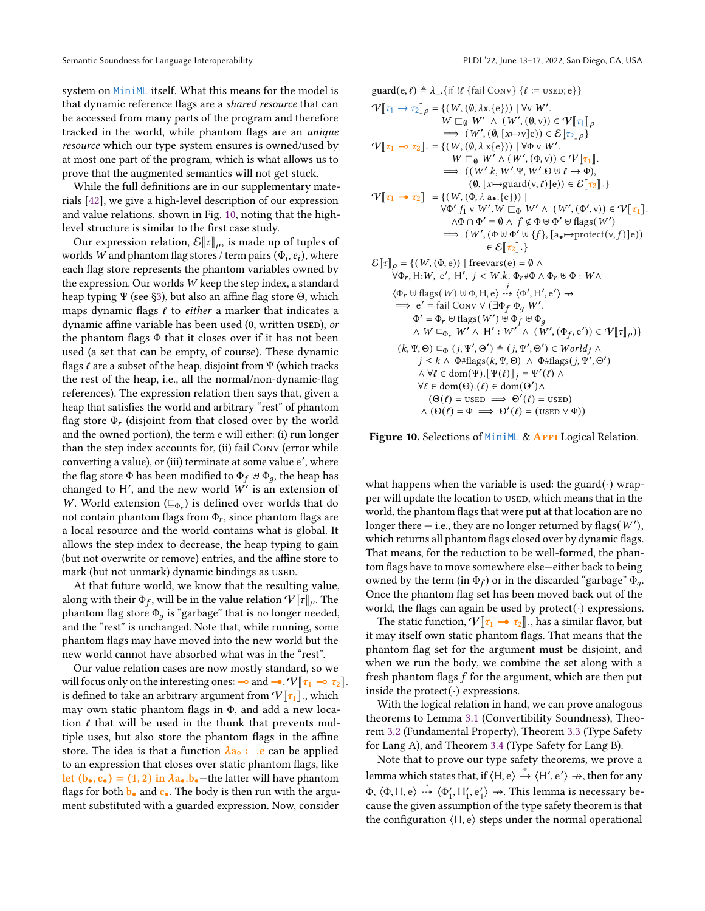system on MiniML itself. What this means for the model is that dynamic reference flags are a shared resource that can be accessed from many parts of the program and therefore tracked in the world, while phantom flags are an unique resource which our type system ensures is owned/used by at most one part of the program, which is what allows us to prove that the augmented semantics will not get stuck.

While the full definitions are in our supplementary materials [\[42\]](#page-15-12), we give a high-level description of our expression and value relations, shown in Fig. [10,](#page-8-0) noting that the highlevel structure is similar to the first case study.

Our expression relation,  $\mathcal{E}[\![\tau]\!]_\rho$ , is made up of tuples of worlds W and phantom flag stores / term pairs  $(\Phi_i, e_i)$ , where each flag store represents the phantom variables owned by the expression. Our worlds W keep the step index, a standard heap typing Ψ (see [§3\)](#page-3-0), but also an affine flag store Θ, which maps dynamic flags  $\ell$  to either a marker that indicates a dynamic affine variable has been used (0, written used), or the phantom flags  $\Phi$  that it closes over if it has not been used (a set that can be empty, of course). These dynamic flags  $\ell$  are a subset of the heap, disjoint from  $\Psi$  (which tracks the rest of the heap, i.e., all the normal/non-dynamic-flag references). The expression relation then says that, given a heap that satisfies the world and arbitrary "rest" of phantom flag store  $\Phi_r$  (disjoint from that closed over by the world and the owned portion), the term e will either: (i) run longer than the step index accounts for, (ii) fail Conv (error while converting a value), or (iii) terminate at some value e ′ , where the flag store  $\Phi$  has been modified to  $\Phi_f \uplus \Phi_q$ , the heap has changed to H', and the new world  $W'$  is an extension of W. World extension ( $\sqsubseteq_{\Phi_r}$ ) is defined over worlds that do not contain phantom flags from  $\Phi_r$ , since phantom flags are a local resource and the world contains what is global. It allows the step index to decrease, the heap typing to gain (but not overwrite or remove) entries, and the affine store to mark (but not unmark) dynamic bindings as used.

At that future world, we know that the resulting value, along with their  $\Phi_f$ , will be in the value relation  $V[[\tau]]_p$ . The phantom flag store  $\Phi_q$  is "garbage" that is no longer needed, and the "rest" is unchanged. Note that, while running, some phantom flags may have moved into the new world but the new world cannot have absorbed what was in the "rest".

Our value relation cases are now mostly standard, so we will focus only on the interesting ones: ⊸ and →.  $V[\![\tau_1 \multimap \tau_2]\!]$ is defined to take an arbitrary argument from  $V[\![\tau_1]\!]$ , which may own static phantom flags in Φ, and add a new location  $\ell$  that will be used in the thunk that prevents multiple uses, but also store the phantom flags in the affine store. The idea is that a function  $\lambda a_0$  : \_.e can be applied to an expression that closes over static phantom flags, like let  $(b_{\bullet}, c_{\bullet}) = (1, 2)$  in  $\lambda a_{\bullet}.b_{\bullet}$  -the latter will have phantom flags for both  $\mathbf{b}_{\bullet}$  and  $\mathbf{c}_{\bullet}$ . The body is then run with the argument substituted with a guarded expression. Now, consider

<span id="page-8-0"></span>
$$
quad(e, \ell) \triangleq \lambda_{-} \{if [\ell \{fail Conv\} \{ \ell := \text{USED}; e \} \}
$$
\n
$$
\mathcal{V}[[\tau_{1} \rightarrow \tau_{2}]] \rho = \{ (W, (0, \lambda x, \{e\})) | \forall v W'.\newline W ⊆_{0} W' ∧ (W', (0, v)) ∈ \mathcal{V}[[\tau_{1}]] \rho
$$
\n
$$
\Rightarrow (W', (0, [x \mapsto v] e)) ∈ \mathcal{E}[[\tau_{2}]] \rho \}
$$
\n
$$
\mathcal{V}[[\tau_{1} \rightarrow \tau_{2}]] = \{ (W, (0, \lambda x \{e\})) | \forall \Phi v W'.\newline W ⊆_{0} W' ∧ (W', (\Phi, v)) ∈ \mathcal{V}[[\tau_{1}]].
$$
\n
$$
\Rightarrow ((W', k, W', \Psi, W', Θ ⊕ \theta \ell \mapsto \Phi),\newline (0, [x \mapsto \text{guard}(v, \ell)] e)) ∈ \mathcal{E}[[\tau_{2}]].\}
$$
\n
$$
\mathcal{V}[[\tau_{1} \rightarrow \tau_{2}]] = \{ (W, (\Phi, \lambda a_{\bullet}. \{e\})) |
$$
\n
$$
\forall \Phi' f_{1} v W'. W ⊆_{\Phi} W' ∧ (W', (\Phi', v)) ∈ \mathcal{V}[[\tau_{1}]].
$$
\n
$$
\land \Phi \cap \Phi' = \emptyset \land f \notin \Phi \forall \Phi' \forall \text{flags}(W') \Rightarrow (W', (\Phi \forall \Phi' \forall \text{flags}(W')) \in \mathcal{E}[[\tau_{2}]].\}
$$
\n
$$
\mathcal{E}[[\tau_{2}]] = \}
$$
\n
$$
\mathcal{E}[[\tau_{2}]] = \{ (W, (\Phi, e)) | \text{free}\arg(e) = \emptyset \land \forall \Phi_{r}, H: W, e', H', j < W.k. \Phi_{r} \# \Phi \land \Phi_{r} \forall \Phi \in W \land \forall \Phi_{r} \forall \text{flags}(W') \forall \Phi_{r} \forall \text{class}(W') \forall \Phi_{r} \forall \text{class}(W') \forall \text{class}(W') \forall \text{class}(W', \Phi_{r}') \land \forall \Phi_{r} \forall \Phi_{r} \forall \text{class}(W') \forall \text{class}(W', \Phi_{r}') \land \forall \Phi_{r} \
$$

Figure 10. Selections of MiniML & AFFI Logical Relation.

what happens when the variable is used: the guard( $\cdot$ ) wrapper will update the location to used, which means that in the world, the phantom flags that were put at that location are no longer there  $-$  i.e., they are no longer returned by flags( $W'$ ), which returns all phantom flags closed over by dynamic flags. That means, for the reduction to be well-formed, the phantom flags have to move somewhere else—either back to being owned by the term (in  $\Phi_f$ ) or in the discarded "garbage"  $\Phi_g$ . Once the phantom flag set has been moved back out of the world, the flags can again be used by  $protect(\cdot)$  expressions.

The static function,  $V[\tau_1 - \tau_2]$ , has a similar flavor, but it may itself own static phantom flags. That means that the phantom flag set for the argument must be disjoint, and when we run the body, we combine the set along with a fresh phantom flags  $f$  for the argument, which are then put inside the protect( $\cdot$ ) expressions.

With the logical relation in hand, we can prove analogous theorems to Lemma [3.1](#page-5-1) (Convertibility Soundness), Theorem [3.2](#page-5-2) (Fundamental Property), Theorem [3.3](#page-5-3) (Type Safety for Lang A), and Theorem [3.4](#page-5-4) (Type Safety for Lang B).

Note that to prove our type safety theorems, we prove a lemma which states that, if  $\langle H, e \rangle \stackrel{*}{\rightarrow} \langle H', e' \rangle \rightarrow$ , then for any  $\Phi$ ,  $\langle \Phi, \mathsf{H}, \mathsf{e} \rangle \rightarrow \langle \Phi'_1, \mathsf{H}'_1, \mathsf{e}'_1 \rangle \rightarrow$ . This lemma is necessary because the given assumption of the type safety theorem is that the configuration  $(H, e)$  steps under the normal operational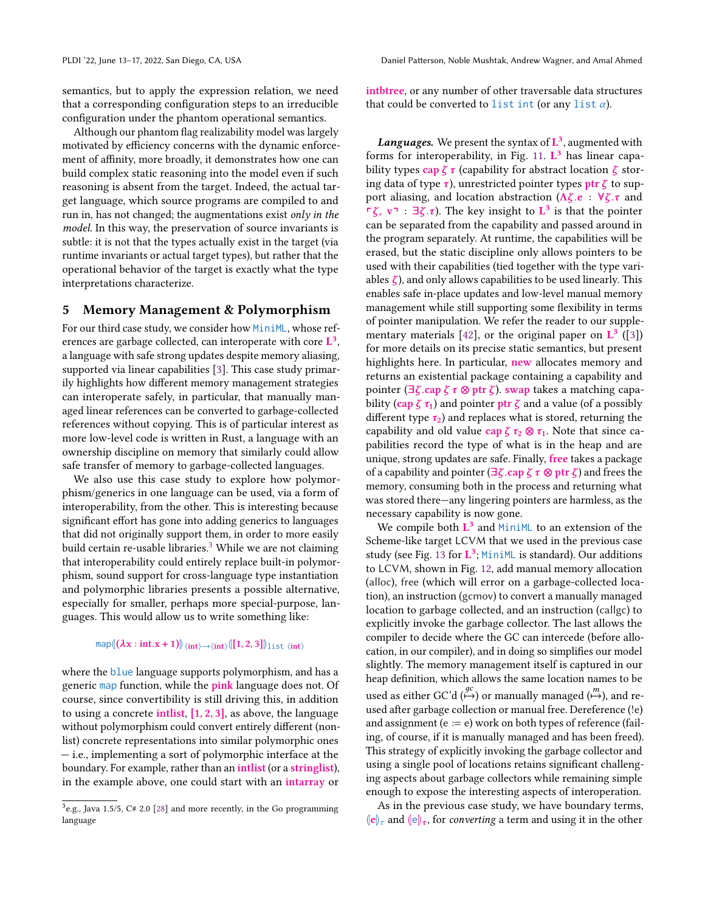semantics, but to apply the expression relation, we need that a corresponding configuration steps to an irreducible configuration under the phantom operational semantics.

Although our phantom flag realizability model was largely motivated by efficiency concerns with the dynamic enforcement of affinity, more broadly, it demonstrates how one can build complex static reasoning into the model even if such reasoning is absent from the target. Indeed, the actual target language, which source programs are compiled to and run in, has not changed; the augmentations exist only in the model. In this way, the preservation of source invariants is subtle: it is not that the types actually exist in the target (via runtime invariants or actual target types), but rather that the operational behavior of the target is exactly what the type interpretations characterize.

# <span id="page-9-0"></span>5 Memory Management & Polymorphism

For our third case study, we consider how MiniML, whose references are garbage collected, can interoperate with core  $\mathbf{L}^3$ . a language with safe strong updates despite memory aliasing, supported via linear capabilities [\[3\]](#page-14-9). This case study primarily highlights how different memory management strategies can interoperate safely, in particular, that manually managed linear references can be converted to garbage-collected references without copying. This is of particular interest as more low-level code is written in Rust, a language with an ownership discipline on memory that similarly could allow safe transfer of memory to garbage-collected languages.

We also use this case study to explore how polymorphism/generics in one language can be used, via a form of interoperability, from the other. This is interesting because significant effort has gone into adding generics to languages that did not originally support them, in order to more easily build certain re-usable libraries. $3$  While we are not claiming that interoperability could entirely replace built-in polymorphism, sound support for cross-language type instantiation and polymorphic libraries presents a possible alternative, especially for smaller, perhaps more special-purpose, languages. This would allow us to write something like:

# map $\left\langle \left( \boldsymbol{\lambda} \mathbf{x}: \text{int}.\mathbf{x}+\mathbf{1} \right) \right\rangle \scriptstyle \left\langle \text{int} \right\rangle \rightarrow \scriptstyle \left\langle \text{int} \right\rangle \left\langle \left[ \mathbf{1},2,3\right] \right\rangle \scriptstyle \downarrow \text{ist} \left\langle \text{int} \right\rangle$

where the blue language supports polymorphism, and has a generic map function, while the pink language does not. Of course, since convertibility is still driving this, in addition to using a concrete intlist,  $[1, 2, 3]$ , as above, the language without polymorphism could convert entirely different (nonlist) concrete representations into similar polymorphic ones — i.e., implementing a sort of polymorphic interface at the boundary. For example, rather than an intlist (or a stringlist), in the example above, one could start with an intarray or

intbtree, or any number of other traversable data structures that could be converted to list int (or any list  $\alpha$ ).

**Languages.** We present the syntax of  $\mathbf{L}^3$ , augmented with forms for interoperability, in Fig. [11.](#page-10-0)  $L^3$  has linear capability types cap  $\zeta \tau$  (capability for abstract location  $\zeta$  storing data of type  $\tau$ ), unrestricted pointer types ptr  $\zeta$  to support aliasing, and location abstraction ( $\Lambda \zeta$ .e :  $\forall \zeta$ . $\tau$  and  $\Gamma \zeta$ ,  $v \Gamma$  :  $\exists \zeta. \tau$ ). The key insight to  $L^3$  is that the pointer can be separated from the capability and passed around in the program separately. At runtime, the capabilities will be erased, but the static discipline only allows pointers to be used with their capabilities (tied together with the type variables  $\zeta$ ), and only allows capabilities to be used linearly. This enables safe in-place updates and low-level manual memory management while still supporting some flexibility in terms of pointer manipulation. We refer the reader to our supple-mentary materials [\[42\]](#page-15-12), or the original paper on  $\mathbf{L}^3$  ([\[3\]](#page-14-9)) for more details on its precise static semantics, but present highlights here. In particular, new allocates memory and returns an existential package containing a capability and pointer ( $\exists \zeta$ .cap  $\zeta \tau \otimes$  ptr  $\zeta$ ). swap takes a matching capability (cap  $\zeta \tau_1$ ) and pointer ptr  $\zeta$  and a value (of a possibly different type  $\tau_2$ ) and replaces what is stored, returning the capability and old value cap  $\zeta \tau_2 \otimes \tau_1$ . Note that since capabilities record the type of what is in the heap and are unique, strong updates are safe. Finally, free takes a package of a capability and pointer ( $\exists \zeta$  .cap  $\zeta \tau \otimes$  ptr  $\zeta$ ) and frees the memory, consuming both in the process and returning what was stored there—any lingering pointers are harmless, as the necessary capability is now gone.

We compile both  $L^3$  and MiniML to an extension of the Scheme-like target LCVM that we used in the previous case study (see Fig. [13](#page-10-1) for  $\mathbf{L}^3$ ; MiniML is standard). Our additions to LCVM, shown in Fig. [12,](#page-10-2) add manual memory allocation (alloc), free (which will error on a garbage-collected location), an instruction (gcmov) to convert a manually managed location to garbage collected, and an instruction (callgc) to explicitly invoke the garbage collector. The last allows the compiler to decide where the GC can intercede (before allocation, in our compiler), and in doing so simplifies our model slightly. The memory management itself is captured in our heap definition, which allows the same location names to be used as either GC'd  $\stackrel{gc}{\longleftrightarrow}$ ) or manually managed  $\stackrel{m}{\longleftrightarrow}$ ), and reused after garbage collection or manual free. Dereference (!e) and assignment ( $e := e$ ) work on both types of reference (failing, of course, if it is manually managed and has been freed). This strategy of explicitly invoking the garbage collector and using a single pool of locations retains significant challenging aspects about garbage collectors while remaining simple enough to expose the interesting aspects of interoperation.

As in the previous case study, we have boundary terms,  $\|\mathbf{e}\|_{\tau}$  and  $\|\mathbf{e}\|_{\tau}$ , for converting a term and using it in the other

<span id="page-9-1"></span> $3e.g.,$  Java 1.5/5, C# 2.0 [\[28\]](#page-14-15) and more recently, in the Go programming language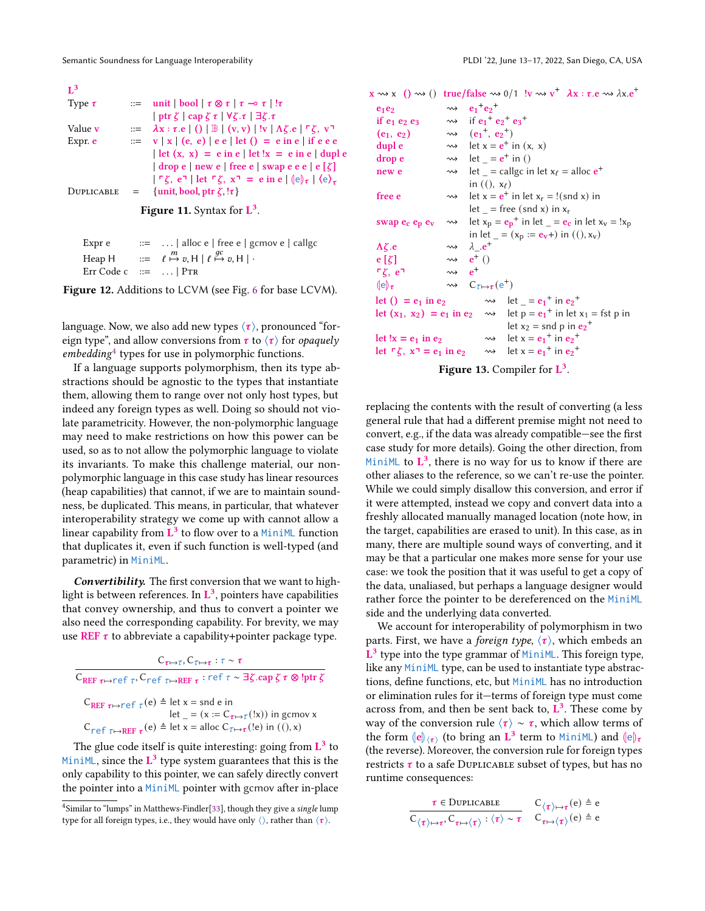<span id="page-10-0"></span>

| $\mathbf{I}^3$                       |              |                                                                                                                                                           |  |
|--------------------------------------|--------------|-----------------------------------------------------------------------------------------------------------------------------------------------------------|--|
| Type $\tau$                          |              | $\equiv$ unit   bool   $\tau \otimes \tau$   $\tau \rightarrow \tau$   ! $\tau$                                                                           |  |
|                                      |              | $ \text{ptr }\zeta  \text{cap }\zeta \tau  \forall \zeta.\tau   \exists \zeta.\tau$                                                                       |  |
| Value <b>v</b>                       |              | $\mathbb{R} := \lambda x : \tau \cdot e \mid () \mid \mathbb{B} \mid (v, v) \mid !v \mid \Lambda \zeta \cdot e \mid \mathsf{F} \zeta, v \cdot \mathsf{F}$ |  |
| Expr. e                              |              | $\equiv v   x   (e, e)   e e   \text{let} (x) = e \text{ in } e   \text{ if } e e e$                                                                      |  |
|                                      |              | $\det(x, x) = e$ in e $\det(x) = e$ in e $\det(x)$                                                                                                        |  |
|                                      |              | $\vert$ drop e $\vert$ new e $\vert$ free e $\vert$ swap e e e $\vert$ e $\vert \zeta \vert$                                                              |  |
|                                      |              | $ \Gamma \zeta, e^{\eta} $ let $\Gamma \zeta, x^{\eta} = e$ in e $ e _{\tau}  \langle e \rangle_{\tau}$                                                   |  |
| DUPLICABLE                           | $\alpha = 1$ | {unit bool ptr $\zeta$ ! $\tau$ }                                                                                                                         |  |
| <b>Figure 11.</b> Syntax for $L^3$ . |              |                                                                                                                                                           |  |

<span id="page-10-2"></span>

| Expr e                  | $\therefore$ $\therefore$ alloc e   free e   gcmov e   callgc                             |
|-------------------------|-------------------------------------------------------------------------------------------|
|                         | Heap H $::= \ell \stackrel{m}{\mapsto} v, H \mid \ell \stackrel{gc}{\mapsto} v, H \mid$ . |
| Err Code c $ ::=$   PTR |                                                                                           |

Figure 12. Additions to LCVM (see Fig. [6](#page-6-1) for base LCVM).

language. Now, we also add new types  $\langle \tau \rangle$ , pronounced "foreign type", and allow conversions from  $\tau$  to  $\langle \tau \rangle$  for *opaquely* embedding[4](#page-10-3) types for use in polymorphic functions.

If a language supports polymorphism, then its type abstractions should be agnostic to the types that instantiate them, allowing them to range over not only host types, but indeed any foreign types as well. Doing so should not violate parametricity. However, the non-polymorphic language may need to make restrictions on how this power can be used, so as to not allow the polymorphic language to violate its invariants. To make this challenge material, our nonpolymorphic language in this case study has linear resources (heap capabilities) that cannot, if we are to maintain soundness, be duplicated. This means, in particular, that whatever interoperability strategy we come up with cannot allow a linear capability from  $\overrightarrow{L}^3$  to flow over to a MiniML function that duplicates it, even if such function is well-typed (and parametric) in MiniML.

Convertibility. The first conversion that we want to highlight is between references. In  $\mathbf{L}^3$ , pointers have capabilities that convey ownership, and thus to convert a pointer we also need the corresponding capability. For brevity, we may use REF  $\tau$  to abbreviate a capability+pointer package type.

| $C_{\tau \mapsto \tau}$ , $C_{\tau \mapsto \tau}$ : $\tau \sim \tau$                                                                                  |
|-------------------------------------------------------------------------------------------------------------------------------------------------------|
| $C_{REF\ \tau\mapsto\tau\in\Gamma\ \tau}$ . $C_{\tau\in\Gamma\ \tau\mapstoREF\ \tau}$ : ref $\tau\sim\exists\zeta$ .cap $\zeta\tau\otimes!ptr\ \zeta$ |
| $C_{REF \tau \mapsto ref \tau}(e)$ $\triangleq$ let x = snd e in<br>let $= (x := C_{\tau \mapsto \tau}(x))$ in gcmov x                                |
| $C_{\text{ref}}$ $_{\tau \mapsto \text{REF}}$ $_{\tau}$ (e) $_{\tau}$ let x = alloc $C_{\tau \mapsto \tau}$ (!e) in ((), x)                           |

The glue code itself is quite interesting: going from  $\mathbf{L}^3$  to MiniML, since the  $L^3$  type system guarantees that this is the only capability to this pointer, we can safely directly convert the pointer into a MiniML pointer with gcmov after in-place

<span id="page-10-1"></span> $x \rightsquigarrow x ( ) \rightsquigarrow )$  true/false  $\rightsquigarrow 0/1$  !v  $\rightsquigarrow v^+$   $\lambda x : \tau.e \rightsquigarrow \lambda x.e^+$ 

| $e_1e_2$                                             |                          | $\rightsquigarrow$ $e_1^+e_2^+$                                                          |
|------------------------------------------------------|--------------------------|------------------------------------------------------------------------------------------|
| if $e_1$ $e_2$ $e_3$                                 |                          | $\rightsquigarrow$ if $e_1^+ e_2^+ e_3^+$                                                |
| $(e_1, e_2)$                                         |                          | $\rightsquigarrow$ $(e_1^+, e_2^+)$                                                      |
| dupl e                                               |                          | $\rightarrow$ let x = $e^+$ in (x, x)                                                    |
| drop e                                               |                          | $\rightarrow$ let = $e^+$ in ()                                                          |
| new e                                                |                          | $\rightarrow$ let = callgc in let $x_{\ell}$ = alloc $e^{+}$                             |
|                                                      |                          | in $($ , $x_{\ell}$ )                                                                    |
| free e                                               |                          | $\rightarrow$ let x = $e^+$ in let x <sub>r</sub> = !(snd x) in                          |
|                                                      |                          | $let$ = free (snd x) in $x_r$                                                            |
| swap $e_c$ $e_p$ $e_v$                               |                          | $\rightarrow$ let $x_p = e_p^+$ in let $e_e = e_e$ in let $x_v = 1x_p$                   |
|                                                      |                          | in let $_{-} = (x_p := e_v +)$ in $(0, x_v)$                                             |
| $\Lambda \zeta.e$                                    |                          | $\rightsquigarrow$ $\lambda_{-}e^{+}$                                                    |
| $e[\zeta]$                                           |                          | $\rightsquigarrow$ $e^+$ ()                                                              |
| $\mathsf{r}\zeta\mathsf{,e}\mathsf{a}$               | $\rightsquigarrow$ $e^+$ |                                                                                          |
| $(\mathrm{e})_{\tau}$                                |                          | $\rightsquigarrow$ $C_{\tau \mapsto \tau}(\mathsf{e}^+)$                                 |
| let () = $e_1$ in $e_2$                              |                          | $\rightarrow$ let = $e_1^{\dagger}$ in $e_2^{\dagger}$                                   |
|                                                      |                          | let $(x_1, x_2) = e_1$ in $e_2 \longrightarrow$ let $p = e_1^+$ in let $x_1 = f$ st p in |
|                                                      |                          | let $x_2$ = snd p in $e_2$ <sup>+</sup>                                                  |
| let !x = $e_1$ in $e_2$                              |                          | $\rightarrow$ let x = $e_1$ <sup>+</sup> in $e_2$ <sup>+</sup>                           |
| let $\ulcorner \zeta$ , $x \urcorner = e_1$ in $e_2$ |                          | $\rightarrow$ let x = $e_1$ <sup>+</sup> in $e_2$ <sup>+</sup>                           |
|                                                      |                          |                                                                                          |

Figure 13. Compiler for  $L^3$ .

replacing the contents with the result of converting (a less general rule that had a different premise might not need to convert, e.g., if the data was already compatible—see the first case study for more details). Going the other direction, from MiniML to  $\mathbf{L}^3$ , there is no way for us to know if there are other aliases to the reference, so we can't re-use the pointer. While we could simply disallow this conversion, and error if it were attempted, instead we copy and convert data into a freshly allocated manually managed location (note how, in the target, capabilities are erased to unit). In this case, as in many, there are multiple sound ways of converting, and it may be that a particular one makes more sense for your use case: we took the position that it was useful to get a copy of the data, unaliased, but perhaps a language designer would rather force the pointer to be dereferenced on the MiniML side and the underlying data converted.

We account for interoperability of polymorphism in two parts. First, we have a *foreign type*,  $\langle \tau \rangle$ , which embeds an  $\mathbf{L}^3$  type into the type grammar of MiniML. This foreign type, like any MiniML type, can be used to instantiate type abstractions, define functions, etc, but MiniML has no introduction or elimination rules for it—terms of foreign type must come across from, and then be sent back to,  $\mathbf{L}^3$ . These come by way of the conversion rule  $\langle \tau \rangle \sim \tau$ , which allow terms of the form  $\langle e \rangle_{\langle \tau \rangle}$  (to bring an  $\dot{L}^3$  term to MiniML) and  $\langle e \rangle_{\tau}$ <br>(the reverse) Moreover the conversion rule for foreign types (the reverse). Moreover, the conversion rule for foreign types restricts  $\tau$  to a safe DUPLICABLE subset of types, but has no runtime consequences:

$$
\dfrac{\tau \in \text{Duplicable}}{C_{\langle \tau \rangle \mapsto \tau}, C_{\tau \mapsto \langle \tau \rangle} : \langle \tau \rangle \sim \tau} \quad \, \mathop{\mathrm{C}_{\langle \tau \rangle \mapsto \tau}(\mathrm{e}) \triangleq \mathrm{e}}_{\tau \mapsto \langle \tau \rangle} \, (\mathrm{e}) \triangleq \mathrm{e}
$$

<span id="page-10-3"></span><sup>&</sup>lt;sup>4</sup>Similar to "lumps" in Matthews-Findler<sup>[\[33\]](#page-14-0)</sup>, though they give a single lump type for all foreign types, i.e., they would have only  $\langle \rangle$ , rather than  $\langle \tau \rangle$ .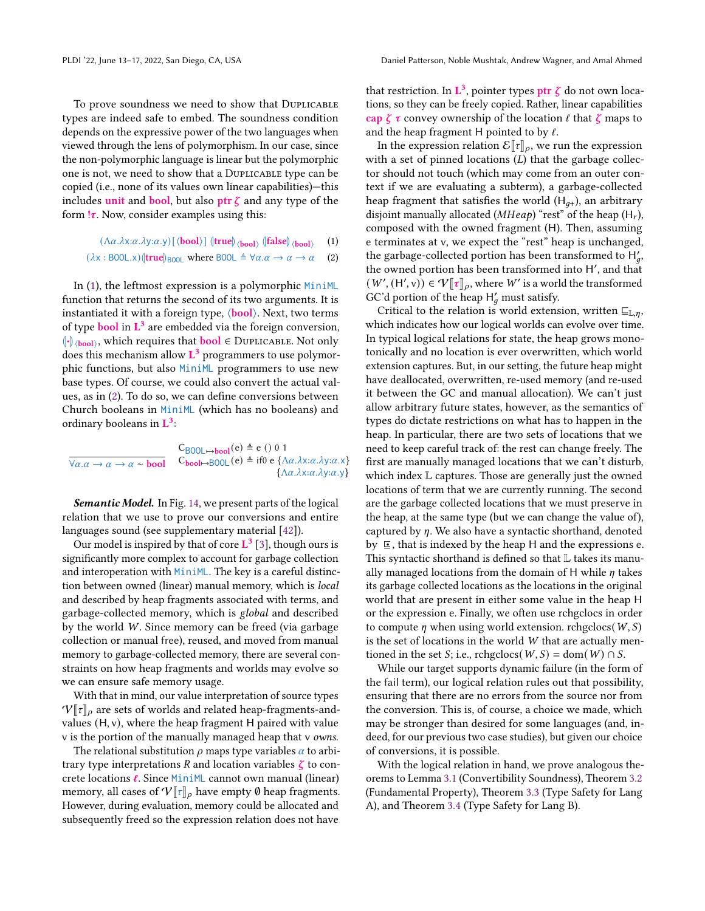To prove soundness we need to show that Duplicable types are indeed safe to embed. The soundness condition depends on the expressive power of the two languages when viewed through the lens of polymorphism. In our case, since the non-polymorphic language is linear but the polymorphic one is not, we need to show that a Duplicable type can be copied (i.e., none of its values own linear capabilities)—this includes unit and bool, but also ptr  $\zeta$  and any type of the form  $\mathsf{I}\tau$ . Now, consider examples using this:

> $(\Lambda \alpha.\lambda x:\alpha.\lambda y:\alpha.y)$  [ $\langle \textbf{bool} \rangle$ ]  $\langle \textbf{true} | \rangle_{\langle \textbf{bool} \rangle}$   $\langle \textbf{false} | \rangle_{\langle \textbf{bool} \rangle}$ (1)

$$
(\lambda x : \text{B0OL}.x)(\text{true})_{\text{B0OL}} \text{ where } \text{B0OL} \triangleq \forall \alpha.\alpha \to \alpha \to \alpha \quad (2)
$$

In [\(1\)](#page-11-0), the leftmost expression is a polymorphic MiniML function that returns the second of its two arguments. It is instantiated it with a foreign type,  $\langle \text{bool} \rangle$ . Next, two terms of type **bool** in  $L^3$  are embedded via the foreign conversion,  $\left\Vert \cdot\right\Vert$  (bool), which requires that **bool**  $\in$  DUPLICABLE. Not only  $\frac{1}{2}$  does this mechanism allow  $\mathbf{L}^3$  programmers to use polymorphic functions, but also MiniML programmers to use new base types. Of course, we could also convert the actual values, as in [\(2\)](#page-11-1). To do so, we can define conversions between Church booleans in MiniML (which has no booleans) and ordinary booleans in  $L^3$ :

$$
\frac{C_{B00L \to bool}(e) \triangleq e \ ( ) \ 0 \ 1}{\forall \alpha. \alpha \to \alpha \to \alpha \sim \text{bool}} \quad C_{bool \to B00L}(e) \triangleq if0 \ e \ {\Delta \alpha. \lambda x : \alpha. \lambda y : \alpha. x} \tag{A\alpha. \lambda x : \alpha. \lambda y : \alpha. y}
$$

Semantic Model. In Fig. [14,](#page-12-0) we present parts of the logical relation that we use to prove our conversions and entire languages sound (see supplementary material [\[42\]](#page-15-12)).

Our model is inspired by that of core  $L^3$  [\[3\]](#page-14-9), though ours is significantly more complex to account for garbage collection and interoperation with MiniML. The key is a careful distinction between owned (linear) manual memory, which is local and described by heap fragments associated with terms, and garbage-collected memory, which is global and described by the world W. Since memory can be freed (via garbage collection or manual free), reused, and moved from manual memory to garbage-collected memory, there are several constraints on how heap fragments and worlds may evolve so we can ensure safe memory usage.

With that in mind, our value interpretation of source types  $V[\![\tau]\!]$ <sub>o</sub> are sets of worlds and related heap-fragments-andvalues (H, v), where the heap fragment H paired with value v is the portion of the manually managed heap that v owns.

The relational substitution  $\rho$  maps type variables  $\alpha$  to arbitrary type interpretations R and location variables  $\zeta$  to concrete locations ℓ. Since MiniML cannot own manual (linear) memory, all cases of  $V[\tau]_{\rho}$  have empty  $\emptyset$  heap fragments. However, during evaluation, memory could be allocated and subsequently freed so the expression relation does not have

that restriction. In  $\mathbf{L}^3$ , pointer types  $\mathsf{ptr} \ \zeta$  do not own locations, so they can be freely copied. Rather, linear capabilities cap  $\zeta \tau$  convey ownership of the location  $\ell$  that  $\zeta$  maps to and the heap fragment H pointed to by  $\ell$ .

In the expression relation  $\mathcal{E}[\![\tau]\!]_\rho$ , we run the expression with a set of pinned locations  $(L)$  that the garbage collector should not touch (which may come from an outer context if we are evaluating a subterm), a garbage-collected heap fragment that satisfies the world  $(H_{q+})$ , an arbitrary disjoint manually allocated ( $MHeap$ ) "rest" of the heap (H<sub>r</sub>), composed with the owned fragment (H). Then, assuming e terminates at v, we expect the "rest" heap is unchanged, the garbage-collected portion has been transformed to  $H'_a$ , the owned portion has been transformed into H′ , and that  $(W', (H', v)) \in \mathcal{V}[\![\tau]\!]_{\rho}$ , where W' is a world the transformed GC'd portion of the heap  $H'_a$  must satisfy.

<span id="page-11-1"></span><span id="page-11-0"></span>Critical to the relation is world extension, written  $\sqsubseteq_{\mathbb{L},n}$ , which indicates how our logical worlds can evolve over time. In typical logical relations for state, the heap grows monotonically and no location is ever overwritten, which world extension captures. But, in our setting, the future heap might have deallocated, overwritten, re-used memory (and re-used it between the GC and manual allocation). We can't just allow arbitrary future states, however, as the semantics of types do dictate restrictions on what has to happen in the heap. In particular, there are two sets of locations that we need to keep careful track of: the rest can change freely. The first are manually managed locations that we can't disturb, which index L captures. Those are generally just the owned locations of term that we are currently running. The second are the garbage collected locations that we must preserve in the heap, at the same type (but we can change the value of), captured by  $\eta$ . We also have a syntactic shorthand, denoted by ⊑• , that is indexed by the heap H and the expressions e. This syntactic shorthand is defined so that L takes its manually managed locations from the domain of H while  $\eta$  takes its garbage collected locations as the locations in the original world that are present in either some value in the heap H or the expression e. Finally, we often use rchgclocs in order to compute  $\eta$  when using world extension. rchgclocs( $W, S$ ) is the set of locations in the world  $W$  that are actually mentioned in the set *S*; i.e., rchgclocs( $W, S$ ) = dom( $W$ )  $\cap S$ .

While our target supports dynamic failure (in the form of the fail term), our logical relation rules out that possibility, ensuring that there are no errors from the source nor from the conversion. This is, of course, a choice we made, which may be stronger than desired for some languages (and, indeed, for our previous two case studies), but given our choice of conversions, it is possible.

With the logical relation in hand, we prove analogous theorems to Lemma [3.1](#page-5-1) (Convertibility Soundness), Theorem [3.2](#page-5-2) (Fundamental Property), Theorem [3.3](#page-5-3) (Type Safety for Lang A), and Theorem [3.4](#page-5-4) (Type Safety for Lang B).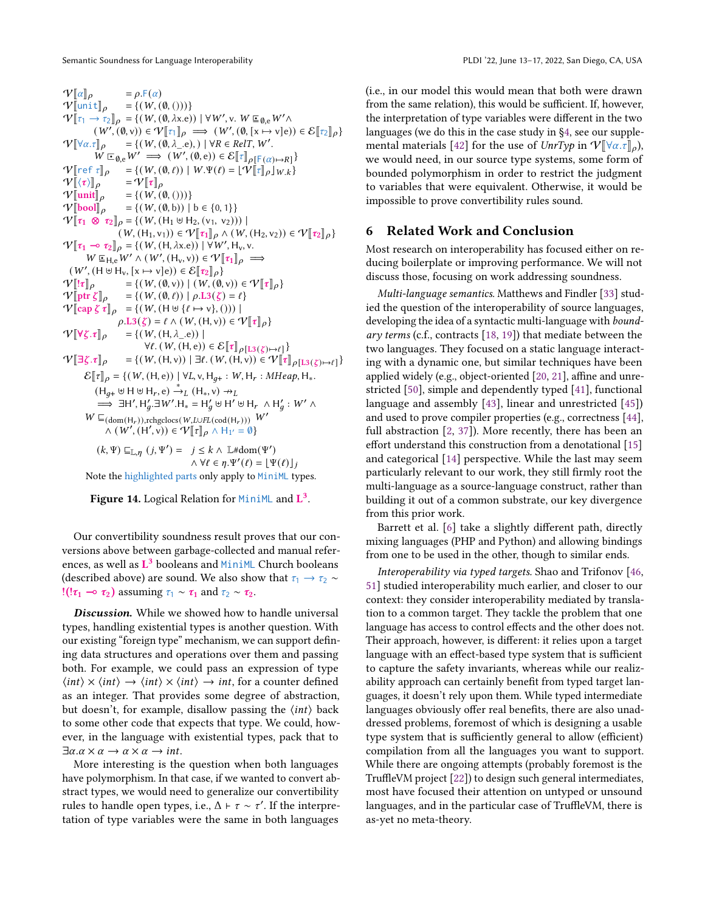<span id="page-12-0"></span> $V[\![\alpha]\!]_\rho$  =  $\rho$ .F( $\alpha$ )<br>  $V[\![\text{unit}]\!]_\rho$  = {( $W$ , (0, ()))}  $V[\text{unit}]_\rho = \{(W, (\emptyset, ()))\}$ <br> $V[\tau, \Delta, \tau] = ((W, (\emptyset, \Delta, \rho)))$  $V[\tau_1 \rightarrow \tau_2]_{\rho} = \{ (W, (0, \lambda x.e)) \mid \forall W', v. W \sqsubseteq_{\emptyset, e} W' \land \dots \sqsubseteq_{\emptyset, e} W' \}$  $(W', (\emptyset, v)) \in V[[\tau]]_p \implies (W', (\emptyset, [x \mapsto v]_e)) \in \mathcal{E}[[\tau_2]]_p$  $V[\forall \alpha.\tau]_{\rho} = \{ (W, (\emptyset, \lambda_-, e), ) \mid \forall R \in RelT, W'.$ <br> $W = W' \longrightarrow (W' \cdot (\emptyset, e)) \in E[\neg]$  $W \sqsubseteq_{\emptyset, e} W' \Longrightarrow (W', (\emptyset, e)) \in \mathcal{E}[\mathbb{T}]_{\rho[\mathsf{F}(\alpha) \mapsto R]}$  $\mathcal{V}[\![\text{ref } \tau]\!]_{\rho} = \{ (W, (\emptyset, \ell)) \mid W.\Psi(\ell) = \lfloor \hat{\Psi}[\![\tau]\!]_{\rho} \rfloor_{W,k} \}$ <br> $\mathcal{V}[\![\langle \tau \rangle]\!]_{\rho} = \mathcal{V}[\![\tau]\!]_{\rho}$  $\frac{\mathcal{V}[\![\langle \tau \rangle]\!]_{\rho}}{\mathcal{V}[\![\mathsf{unit}]\!]_{\rho}}$  $\begin{array}{ll} \mathcal{V}[\![\mathsf{unit}]\!]_\rho &= \{(\mathit{W}, (\emptyset, (\mathit{U})))\} \\ \mathcal{V}[\![\mathsf{bool}]\!]_\rho &= \{(\mathit{W}, (\emptyset, \mathsf{b}))\mid \end{array}$  $=\{(W, (\emptyset, b)) \mid b \in \{0, 1\}\}\$  $V[\![\tau_1 \otimes \tau_2]\!]_\rho = \{(W, (H_1 \uplus H_2, (v_1, v_2)))\!]$  $(W, (H_1, v_1)) \in \mathcal{V}[\![\tau_1]\!]_\rho \wedge (W, (H_2, v_2)) \in \mathcal{V}[\![\tau_2]\!]_\rho\}$  $V[\![\tau_1 \multimap \tau_2]\!]_p = \{(W, (H, \lambda x.e)) | \forall W', H_v, v,$ <br>WEXERENT A (W' (H, x))  $\in \mathbb{R}^{\vert\!\vert}$  $W \subseteq H_e W' \wedge (W', (H_v, v)) \in V[\![\tau_1]\!]_\rho \implies$  $(W', (H \cup H_v, [x \mapsto v]e)) \in \mathcal{E}[\![\tau_2]\!]_\rho$  $\label{eq:V} \begin{array}{ll} \mathcal{V} \big[ \!\! \big[ \![ \tau ]\!]_\rho & = \{ \big( \, W , (\emptyset, \nu) \big) \; \big| \; \big( \, W , (\emptyset, \nu) \big) \in \mathcal{V} \big[ \![ \tau ]\!]_\rho \} \\ \mathcal{V} \big[ \!\! \big[ \!\! \big[ \text{ptr} \, \zeta \big] \!\! \big]_\rho & = \{ \big( \, W , (\emptyset, \ell) \big) \; \big| \; \rho . \text{L3}(\zeta) = \ell \} \end{array}$  $= \{ (W, (\emptyset, \ell)) \mid \rho \text{.} L3(\zeta) = \ell \}$  $V[\c{cap} \zeta \tau]_{\rho} = \{(W, (H \uplus \{\ell \mapsto v\},)))\}$  $\rho.L3(\zeta) = \ell \wedge (W, (H, v)) \in \mathcal{V}[\![\tau]\!]_{\rho}$  $\mathcal{V}[\![\forall \zeta.\tau]\!]_{\rho}$  = {(W, (H,  $\lambda$ <sub>-</sub>.e)) |  $\forall \ell. (W, (H, e)) \in \mathcal{E}[\![\tau]\!]_{\rho[\mathrm{L}3(\zeta) \mapsto \ell]}\}$  $V[\exists \zeta \cdot \tau]_{\rho} = \{(W, (H, v)) \mid \exists \ell \cdot (W, (H, v)) \in V[\tau]_{\rho[\text{L3}(\zeta) \mapsto \ell]} \}$  $\mathcal{E}[\![\tau]\!]_{\rho} = \{(W, (H, e)) \mid \forall L, v, H_{q+} : W, H_r : MHeap, H_*\$  $(H_{q+} \uplus H \uplus H_r, e) \stackrel{*}{\rightarrow} _L (H_*, v) \rightarrow_L$  $\Rightarrow$   $\exists H', H'_q \exists W'. H_* = H'_q \uplus H' \uplus H_r \wedge H'_q : W' \wedge$  $W \sqsubseteq_{(\text{dom}(\mathsf{H}_r)), \text{rehgelocs}(W, L\cup FL(\text{cod}(\mathsf{H}_r)))} W'$  $\wedge$   $(W', (H', v)) \in \mathcal{V}[[\tau]]\rho \wedge H_{1'} = \emptyset$  $(k, \Psi) \sqsubseteq_{\mathbb{L}, n} (j, \Psi') = j \leq k \wedge \mathbb{L} \# \text{dom}(\Psi')$  $\wedge \forall \ell \in \eta \Psi'(\ell) = \left[ \Psi(\ell) \right]_k$ 

Note the highlighted parts only apply to MiniML types.

Figure 14. Logical Relation for  $MinIML$  and  $L^3$ .

Our convertibility soundness result proves that our conversions above between garbage-collected and manual references, as well as L<sup>3</sup> booleans and MiniML Church booleans (described above) are sound. We also show that  $\tau_1 \rightarrow \tau_2 \sim$ !(! $\tau_1 \rightarrow \tau_2$ ) assuming  $\tau_1 \sim \tau_1$  and  $\tau_2 \sim \tau_2$ .

Discussion. While we showed how to handle universal types, handling existential types is another question. With our existing "foreign type" mechanism, we can support defining data structures and operations over them and passing both. For example, we could pass an expression of type  $\langle int \rangle \times \langle int \rangle \rightarrow \langle int \rangle \times \langle int \rangle \rightarrow int$ , for a counter defined as an integer. That provides some degree of abstraction, but doesn't, for example, disallow passing the  $\langle int \rangle$  back to some other code that expects that type. We could, however, in the language with existential types, pack that to  $\exists \alpha \ldotp \alpha \times \alpha \rightarrow \alpha \times \alpha \rightarrow int.$ 

More interesting is the question when both languages have polymorphism. In that case, if we wanted to convert abstract types, we would need to generalize our convertibility rules to handle open types, i.e.,  $\Delta \vdash \tau \sim \tau'$ . If the interpretation of type variables were the same in both languages

(i.e., in our model this would mean that both were drawn from the same relation), this would be sufficient. If, however, the interpretation of type variables were different in the two languages (we do this in the case study in [§4,](#page-5-0) see our supple-mental materials [\[42\]](#page-15-12) for the use of  $UnrTyp$  in  $V[\forall \alpha.\tau]_{\rho}$ ), we would need, in our source type systems, some form of bounded polymorphism in order to restrict the judgment to variables that were equivalent. Otherwise, it would be impossible to prove convertibility rules sound.

# 6 Related Work and Conclusion

Most research on interoperability has focused either on reducing boilerplate or improving performance. We will not discuss those, focusing on work addressing soundness.

Multi-language semantics. Matthews and Findler [\[33\]](#page-14-0) studied the question of the interoperability of source languages, developing the idea of a syntactic multi-language with boundary terms (c.f., contracts [\[18,](#page-14-16) [19\]](#page-14-17)) that mediate between the two languages. They focused on a static language interacting with a dynamic one, but similar techniques have been applied widely (e.g., object-oriented [\[20,](#page-14-18) [21\]](#page-14-19), affine and unrestricted [\[50\]](#page-15-7), simple and dependently typed [\[41\]](#page-15-5), functional language and assembly [\[43\]](#page-15-8), linear and unrestricted [\[45\]](#page-15-6)) and used to prove compiler properties (e.g., correctness [\[44\]](#page-15-10), full abstraction [\[2,](#page-14-6) [37\]](#page-15-9)). More recently, there has been an effort understand this construction from a denotational [\[15\]](#page-14-20) and categorical [\[14\]](#page-14-21) perspective. While the last may seem particularly relevant to our work, they still firmly root the multi-language as a source-language construct, rather than building it out of a common substrate, our key divergence from this prior work.

Barrett et al. [\[6\]](#page-14-22) take a slightly different path, directly mixing languages (PHP and Python) and allowing bindings from one to be used in the other, though to similar ends.

Interoperability via typed targets. Shao and Trifonov [\[46,](#page-15-13) [51\]](#page-15-14) studied interoperability much earlier, and closer to our context: they consider interoperability mediated by translation to a common target. They tackle the problem that one language has access to control effects and the other does not. Their approach, however, is different: it relies upon a target language with an effect-based type system that is sufficient to capture the safety invariants, whereas while our realizability approach can certainly benefit from typed target languages, it doesn't rely upon them. While typed intermediate languages obviously offer real benefits, there are also unaddressed problems, foremost of which is designing a usable type system that is sufficiently general to allow (efficient) compilation from all the languages you want to support. While there are ongoing attempts (probably foremost is the TruffleVM project [\[22\]](#page-14-23)) to design such general intermediates, most have focused their attention on untyped or unsound languages, and in the particular case of TruffleVM, there is as-yet no meta-theory.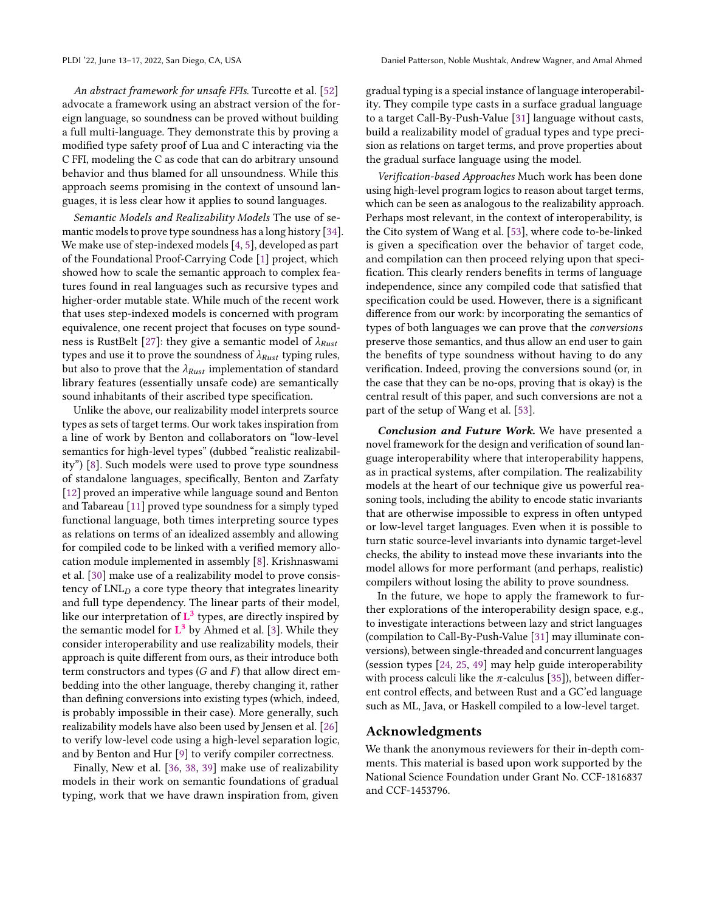An abstract framework for unsafe FFIs. Turcotte et al. [\[52\]](#page-15-15) advocate a framework using an abstract version of the foreign language, so soundness can be proved without building a full multi-language. They demonstrate this by proving a modified type safety proof of Lua and C interacting via the C FFI, modeling the C as code that can do arbitrary unsound behavior and thus blamed for all unsoundness. While this approach seems promising in the context of unsound languages, it is less clear how it applies to sound languages.

Semantic Models and Realizability Models The use of semantic models to prove type soundness has a long history [\[34\]](#page-14-24). We make use of step-indexed models [\[4,](#page-14-14) [5\]](#page-14-25), developed as part of the Foundational Proof-Carrying Code [\[1\]](#page-14-26) project, which showed how to scale the semantic approach to complex features found in real languages such as recursive types and higher-order mutable state. While much of the recent work that uses step-indexed models is concerned with program equivalence, one recent project that focuses on type sound-ness is RustBelt [\[27\]](#page-14-27): they give a semantic model of  $\lambda_{Rust}$ types and use it to prove the soundness of  $\lambda_{Rust}$  typing rules, but also to prove that the  $\lambda_{Rust}$  implementation of standard library features (essentially unsafe code) are semantically sound inhabitants of their ascribed type specification.

Unlike the above, our realizability model interprets source types as sets of target terms. Our work takes inspiration from a line of work by Benton and collaborators on "low-level semantics for high-level types" (dubbed "realistic realizability") [\[8\]](#page-14-28). Such models were used to prove type soundness of standalone languages, specifically, Benton and Zarfaty [\[12\]](#page-14-7) proved an imperative while language sound and Benton and Tabareau [\[11\]](#page-14-8) proved type soundness for a simply typed functional language, both times interpreting source types as relations on terms of an idealized assembly and allowing for compiled code to be linked with a verified memory allocation module implemented in assembly [\[8\]](#page-14-28). Krishnaswami et al. [\[30\]](#page-14-29) make use of a realizability model to prove consistency of  $LNL<sub>D</sub>$  a core type theory that integrates linearity and full type dependency. The linear parts of their model, like our interpretation of  $L^3$  types, are directly inspired by the semantic model for  $L^3$  by Ahmed et al. [\[3\]](#page-14-9). While they consider interoperability and use realizability models, their approach is quite different from ours, as their introduce both term constructors and types  $(G \text{ and } F)$  that allow direct embedding into the other language, thereby changing it, rather than defining conversions into existing types (which, indeed, is probably impossible in their case). More generally, such realizability models have also been used by Jensen et al. [\[26\]](#page-14-30) to verify low-level code using a high-level separation logic, and by Benton and Hur [\[9\]](#page-14-31) to verify compiler correctness.

Finally, New et al. [\[36,](#page-15-16) [38,](#page-15-17) [39\]](#page-15-18) make use of realizability models in their work on semantic foundations of gradual typing, work that we have drawn inspiration from, given gradual typing is a special instance of language interoperability. They compile type casts in a surface gradual language to a target Call-By-Push-Value [\[31\]](#page-14-13) language without casts, build a realizability model of gradual types and type precision as relations on target terms, and prove properties about the gradual surface language using the model.

Verification-based Approaches Much work has been done using high-level program logics to reason about target terms, which can be seen as analogous to the realizability approach. Perhaps most relevant, in the context of interoperability, is the Cito system of Wang et al. [\[53\]](#page-15-19), where code to-be-linked is given a specification over the behavior of target code, and compilation can then proceed relying upon that specification. This clearly renders benefits in terms of language independence, since any compiled code that satisfied that specification could be used. However, there is a significant difference from our work: by incorporating the semantics of types of both languages we can prove that the conversions preserve those semantics, and thus allow an end user to gain the benefits of type soundness without having to do any verification. Indeed, proving the conversions sound (or, in the case that they can be no-ops, proving that is okay) is the central result of this paper, and such conversions are not a part of the setup of Wang et al. [\[53\]](#page-15-19).

Conclusion and Future Work. We have presented a novel framework for the design and verification of sound language interoperability where that interoperability happens, as in practical systems, after compilation. The realizability models at the heart of our technique give us powerful reasoning tools, including the ability to encode static invariants that are otherwise impossible to express in often untyped or low-level target languages. Even when it is possible to turn static source-level invariants into dynamic target-level checks, the ability to instead move these invariants into the model allows for more performant (and perhaps, realistic) compilers without losing the ability to prove soundness.

In the future, we hope to apply the framework to further explorations of the interoperability design space, e.g., to investigate interactions between lazy and strict languages (compilation to Call-By-Push-Value [\[31\]](#page-14-13) may illuminate conversions), between single-threaded and concurrent languages (session types [\[24,](#page-14-32) [25,](#page-14-33) [49\]](#page-15-20) may help guide interoperability with process calculi like the  $\pi$ -calculus [\[35\]](#page-15-21)), between different control effects, and between Rust and a GC'ed language such as ML, Java, or Haskell compiled to a low-level target.

#### Acknowledgments

We thank the anonymous reviewers for their in-depth comments. This material is based upon work supported by the National Science Foundation under Grant No. CCF-1816837 and CCF-1453796.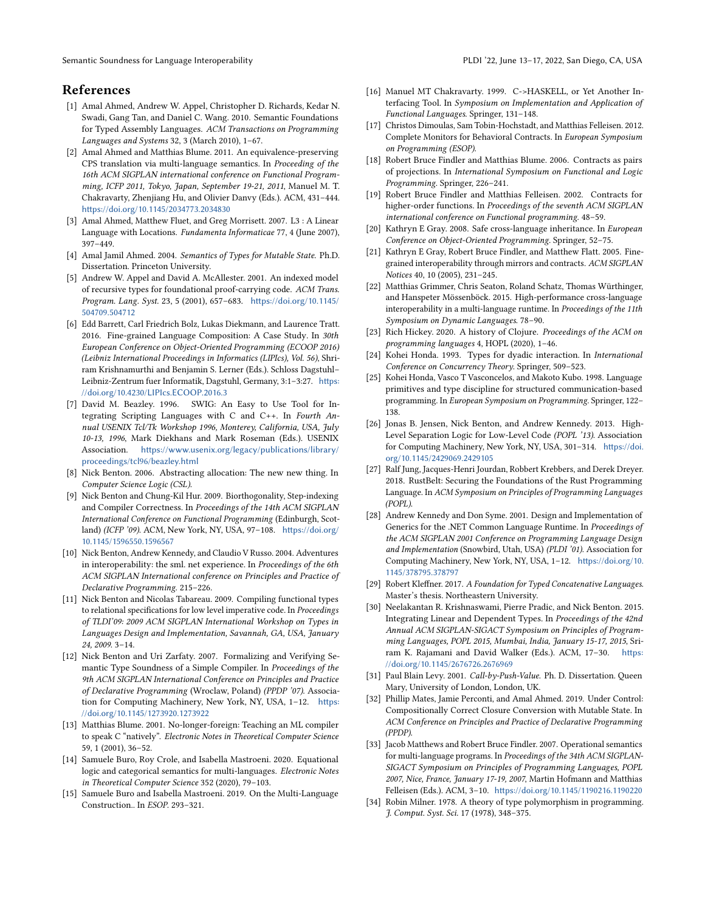Semantic Soundness for Language Interoperability **PLOI** '22, June 13–17, 2022, San Diego, CA, USA

# References

- <span id="page-14-26"></span>[1] Amal Ahmed, Andrew W. Appel, Christopher D. Richards, Kedar N. Swadi, Gang Tan, and Daniel C. Wang. 2010. Semantic Foundations for Typed Assembly Languages. ACM Transactions on Programming Languages and Systems 32, 3 (March 2010), 1–67.
- <span id="page-14-6"></span>[2] Amal Ahmed and Matthias Blume. 2011. An equivalence-preserving CPS translation via multi-language semantics. In Proceeding of the 16th ACM SIGPLAN international conference on Functional Programming, ICFP 2011, Tokyo, Japan, September 19-21, 2011, Manuel M. T. Chakravarty, Zhenjiang Hu, and Olivier Danvy (Eds.). ACM, 431–444. <https://doi.org/10.1145/2034773.2034830>
- <span id="page-14-9"></span>[3] Amal Ahmed, Matthew Fluet, and Greg Morrisett. 2007. L3 : A Linear Language with Locations. Fundamenta Informaticae 77, 4 (June 2007), 397–449.
- <span id="page-14-14"></span>[4] Amal Jamil Ahmed. 2004. Semantics of Types for Mutable State. Ph.D. Dissertation. Princeton University.
- <span id="page-14-25"></span>[5] Andrew W. Appel and David A. McAllester. 2001. An indexed model of recursive types for foundational proof-carrying code. ACM Trans. Program. Lang. Syst. 23, 5 (2001), 657–683. [https://doi.org/10.1145/](https://doi.org/10.1145/504709.504712) [504709.504712](https://doi.org/10.1145/504709.504712)
- <span id="page-14-22"></span>[6] Edd Barrett, Carl Friedrich Bolz, Lukas Diekmann, and Laurence Tratt. 2016. Fine-grained Language Composition: A Case Study. In 30th European Conference on Object-Oriented Programming (ECOOP 2016) (Leibniz International Proceedings in Informatics (LIPIcs), Vol. 56), Shriram Krishnamurthi and Benjamin S. Lerner (Eds.). Schloss Dagstuhl– Leibniz-Zentrum fuer Informatik, Dagstuhl, Germany, 3:1–3:27. [https:](https://doi.org/10.4230/LIPIcs.ECOOP.2016.3) [//doi.org/10.4230/LIPIcs.ECOOP.2016.3](https://doi.org/10.4230/LIPIcs.ECOOP.2016.3)
- <span id="page-14-3"></span>[7] David M. Beazley. 1996. SWIG: An Easy to Use Tool for Integrating Scripting Languages with C and C++. In Fourth Annual USENIX Tcl/Tk Workshop 1996, Monterey, California, USA, July 10-13, 1996, Mark Diekhans and Mark Roseman (Eds.). USENIX Association. [https://www.usenix.org/legacy/publications/library/](https://www.usenix.org/legacy/publications/library/proceedings/tcl96/beazley.html) [proceedings/tcl96/beazley.html](https://www.usenix.org/legacy/publications/library/proceedings/tcl96/beazley.html)
- <span id="page-14-28"></span>[8] Nick Benton. 2006. Abstracting allocation: The new new thing. In Computer Science Logic (CSL).
- <span id="page-14-31"></span>[9] Nick Benton and Chung-Kil Hur. 2009. Biorthogonality, Step-indexing and Compiler Correctness. In Proceedings of the 14th ACM SIGPLAN International Conference on Functional Programming (Edinburgh, Scotland) (ICFP '09). ACM, New York, NY, USA, 97–108. [https://doi.org/](https://doi.org/10.1145/1596550.1596567) [10.1145/1596550.1596567](https://doi.org/10.1145/1596550.1596567)
- <span id="page-14-2"></span>[10] Nick Benton, Andrew Kennedy, and Claudio V Russo. 2004. Adventures in interoperability: the sml. net experience. In Proceedings of the 6th ACM SIGPLAN International conference on Principles and Practice of Declarative Programming. 215–226.
- <span id="page-14-8"></span>[11] Nick Benton and Nicolas Tabareau. 2009. Compiling functional types to relational specifications for low level imperative code. In Proceedings of TLDI'09: 2009 ACM SIGPLAN International Workshop on Types in Languages Design and Implementation, Savannah, GA, USA, January 24, 2009. 3–14.
- <span id="page-14-7"></span>[12] Nick Benton and Uri Zarfaty. 2007. Formalizing and Verifying Semantic Type Soundness of a Simple Compiler. In Proceedings of the 9th ACM SIGPLAN International Conference on Principles and Practice of Declarative Programming (Wroclaw, Poland) (PPDP '07). Association for Computing Machinery, New York, NY, USA, 1–12. [https:](https://doi.org/10.1145/1273920.1273922) [//doi.org/10.1145/1273920.1273922](https://doi.org/10.1145/1273920.1273922)
- <span id="page-14-5"></span>[13] Matthias Blume. 2001. No-longer-foreign: Teaching an ML compiler to speak C "natively". Electronic Notes in Theoretical Computer Science 59, 1 (2001), 36–52.
- <span id="page-14-21"></span>[14] Samuele Buro, Roy Crole, and Isabella Mastroeni. 2020. Equational logic and categorical semantics for multi-languages. Electronic Notes in Theoretical Computer Science 352 (2020), 79–103.
- <span id="page-14-20"></span>[15] Samuele Buro and Isabella Mastroeni. 2019. On the Multi-Language Construction.. In ESOP. 293–321.
- <span id="page-14-4"></span>[16] Manuel MT Chakravarty. 1999. C->HASKELL, or Yet Another Interfacing Tool. In Symposium on Implementation and Application of Functional Languages. Springer, 131–148.
- <span id="page-14-10"></span>[17] Christos Dimoulas, Sam Tobin-Hochstadt, and Matthias Felleisen. 2012. Complete Monitors for Behavioral Contracts. In European Symposium on Programming (ESOP).
- <span id="page-14-16"></span>[18] Robert Bruce Findler and Matthias Blume. 2006. Contracts as pairs of projections. In International Symposium on Functional and Logic Programming. Springer, 226–241.
- <span id="page-14-17"></span>[19] Robert Bruce Findler and Matthias Felleisen. 2002. Contracts for higher-order functions. In Proceedings of the seventh ACM SIGPLAN international conference on Functional programming. 48–59.
- <span id="page-14-18"></span>[20] Kathryn E Gray. 2008. Safe cross-language inheritance. In European Conference on Object-Oriented Programming. Springer, 52–75.
- <span id="page-14-19"></span>[21] Kathryn E Gray, Robert Bruce Findler, and Matthew Flatt. 2005. Finegrained interoperability through mirrors and contracts. ACM SIGPLAN Notices 40, 10 (2005), 231–245.
- <span id="page-14-23"></span>[22] Matthias Grimmer, Chris Seaton, Roland Schatz, Thomas Würthinger, and Hanspeter Mössenböck. 2015. High-performance cross-language interoperability in a multi-language runtime. In Proceedings of the 11th Symposium on Dynamic Languages. 78–90.
- <span id="page-14-1"></span>[23] Rich Hickey. 2020. A history of Clojure. Proceedings of the ACM on programming languages 4, HOPL (2020), 1–46.
- <span id="page-14-32"></span>[24] Kohei Honda. 1993. Types for dyadic interaction. In International Conference on Concurrency Theory. Springer, 509–523.
- <span id="page-14-33"></span>[25] Kohei Honda, Vasco T Vasconcelos, and Makoto Kubo. 1998. Language primitives and type discipline for structured communication-based programming. In European Symposium on Programming. Springer, 122– 138.
- <span id="page-14-30"></span>[26] Jonas B. Jensen, Nick Benton, and Andrew Kennedy. 2013. High-Level Separation Logic for Low-Level Code (POPL '13). Association for Computing Machinery, New York, NY, USA, 301–314. [https://doi.](https://doi.org/10.1145/2429069.2429105) [org/10.1145/2429069.2429105](https://doi.org/10.1145/2429069.2429105)
- <span id="page-14-27"></span>[27] Ralf Jung, Jacques-Henri Jourdan, Robbert Krebbers, and Derek Dreyer. 2018. RustBelt: Securing the Foundations of the Rust Programming Language. In ACM Symposium on Principles of Programming Languages (POPL).
- <span id="page-14-15"></span>[28] Andrew Kennedy and Don Syme. 2001. Design and Implementation of Generics for the .NET Common Language Runtime. In Proceedings of the ACM SIGPLAN 2001 Conference on Programming Language Design and Implementation (Snowbird, Utah, USA) (PLDI '01). Association for Computing Machinery, New York, NY, USA, 1–12. [https://doi.org/10.](https://doi.org/10.1145/378795.378797) [1145/378795.378797](https://doi.org/10.1145/378795.378797)
- <span id="page-14-12"></span>[29] Robert Kleffner. 2017. A Foundation for Typed Concatenative Languages. Master's thesis. Northeastern University.
- <span id="page-14-29"></span>[30] Neelakantan R. Krishnaswami, Pierre Pradic, and Nick Benton. 2015. Integrating Linear and Dependent Types. In Proceedings of the 42nd Annual ACM SIGPLAN-SIGACT Symposium on Principles of Programming Languages, POPL 2015, Mumbai, India, January 15-17, 2015, Sriram K. Rajamani and David Walker (Eds.). ACM, 17–30. [https:](https://doi.org/10.1145/2676726.2676969) [//doi.org/10.1145/2676726.2676969](https://doi.org/10.1145/2676726.2676969)
- <span id="page-14-13"></span>[31] Paul Blain Levy. 2001. Call-by-Push-Value. Ph. D. Dissertation. Queen Mary, University of London, London, UK.
- <span id="page-14-11"></span>[32] Phillip Mates, Jamie Perconti, and Amal Ahmed. 2019. Under Control: Compositionally Correct Closure Conversion with Mutable State. In ACM Conference on Principles and Practice of Declarative Programming (PPDP).
- <span id="page-14-0"></span>[33] Jacob Matthews and Robert Bruce Findler. 2007. Operational semantics for multi-language programs. In Proceedings of the 34th ACM SIGPLAN-SIGACT Symposium on Principles of Programming Languages, POPL 2007, Nice, France, January 17-19, 2007, Martin Hofmann and Matthias Felleisen (Eds.). ACM, 3–10. <https://doi.org/10.1145/1190216.1190220>
- <span id="page-14-24"></span>[34] Robin Milner. 1978. A theory of type polymorphism in programming. J. Comput. Syst. Sci. 17 (1978), 348–375.